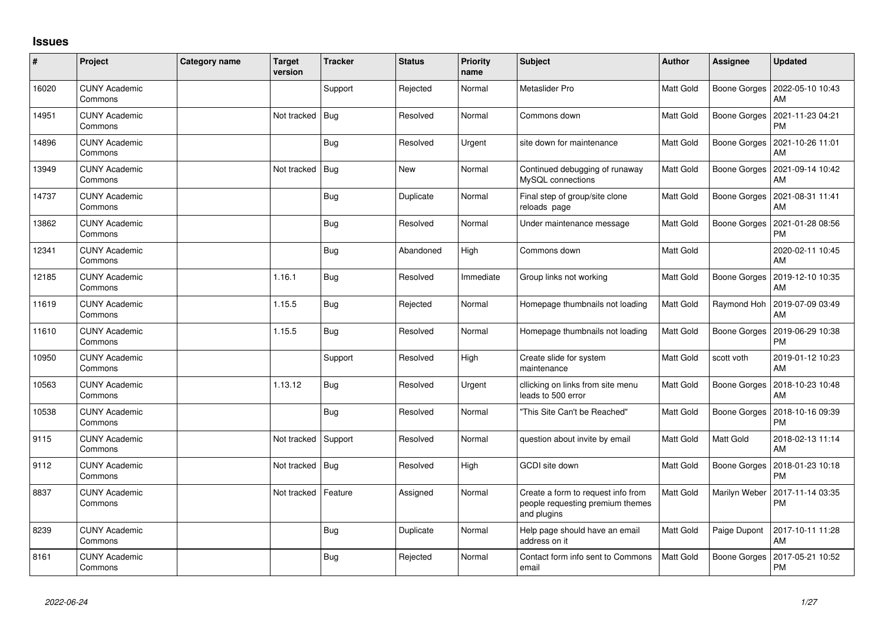## **Issues**

| $\#$  | Project                         | <b>Category name</b> | <b>Target</b><br>version | <b>Tracker</b> | <b>Status</b> | Priority<br>name | <b>Subject</b>                                                                        | <b>Author</b> | Assignee      | <b>Updated</b>                        |
|-------|---------------------------------|----------------------|--------------------------|----------------|---------------|------------------|---------------------------------------------------------------------------------------|---------------|---------------|---------------------------------------|
| 16020 | <b>CUNY Academic</b><br>Commons |                      |                          | Support        | Rejected      | Normal           | Metaslider Pro                                                                        | Matt Gold     | Boone Gorges  | 2022-05-10 10:43<br>AM                |
| 14951 | <b>CUNY Academic</b><br>Commons |                      | Not tracked              | Bug            | Resolved      | Normal           | Commons down                                                                          | Matt Gold     | Boone Gorges  | 2021-11-23 04:21<br><b>PM</b>         |
| 14896 | <b>CUNY Academic</b><br>Commons |                      |                          | Bug            | Resolved      | Urgent           | site down for maintenance                                                             | Matt Gold     | Boone Gorges  | 2021-10-26 11:01<br>AM                |
| 13949 | <b>CUNY Academic</b><br>Commons |                      | Not tracked              | Bug            | <b>New</b>    | Normal           | Continued debugging of runaway<br>MySQL connections                                   | Matt Gold     | Boone Gorges  | 2021-09-14 10:42<br>AM                |
| 14737 | <b>CUNY Academic</b><br>Commons |                      |                          | Bug            | Duplicate     | Normal           | Final step of group/site clone<br>reloads page                                        | Matt Gold     | Boone Gorges  | 2021-08-31 11:41<br>AM                |
| 13862 | <b>CUNY Academic</b><br>Commons |                      |                          | <b>Bug</b>     | Resolved      | Normal           | Under maintenance message                                                             | Matt Gold     | Boone Gorges  | 2021-01-28 08:56<br><b>PM</b>         |
| 12341 | <b>CUNY Academic</b><br>Commons |                      |                          | Bug            | Abandoned     | High             | Commons down                                                                          | Matt Gold     |               | 2020-02-11 10:45<br>AM                |
| 12185 | <b>CUNY Academic</b><br>Commons |                      | 1.16.1                   | Bug            | Resolved      | Immediate        | Group links not working                                                               | Matt Gold     | Boone Gorges  | 2019-12-10 10:35<br>AM                |
| 11619 | <b>CUNY Academic</b><br>Commons |                      | 1.15.5                   | Bug            | Rejected      | Normal           | Homepage thumbnails not loading                                                       | Matt Gold     | Raymond Hoh   | 2019-07-09 03:49<br>AM                |
| 11610 | <b>CUNY Academic</b><br>Commons |                      | 1.15.5                   | Bug            | Resolved      | Normal           | Homepage thumbnails not loading                                                       | Matt Gold     | Boone Gorges  | 2019-06-29 10:38<br><b>PM</b>         |
| 10950 | <b>CUNY Academic</b><br>Commons |                      |                          | Support        | Resolved      | High             | Create slide for system<br>maintenance                                                | Matt Gold     | scott voth    | 2019-01-12 10:23<br>AM                |
| 10563 | <b>CUNY Academic</b><br>Commons |                      | 1.13.12                  | <b>Bug</b>     | Resolved      | Urgent           | cllicking on links from site menu<br>leads to 500 error                               | Matt Gold     |               | Boone Gorges   2018-10-23 10:48<br>AM |
| 10538 | <b>CUNY Academic</b><br>Commons |                      |                          | <b>Bug</b>     | Resolved      | Normal           | 'This Site Can't be Reached"                                                          | Matt Gold     | Boone Gorges  | 2018-10-16 09:39<br><b>PM</b>         |
| 9115  | <b>CUNY Academic</b><br>Commons |                      | Not tracked              | Support        | Resolved      | Normal           | question about invite by email                                                        | Matt Gold     | Matt Gold     | 2018-02-13 11:14<br>AM                |
| 9112  | <b>CUNY Academic</b><br>Commons |                      | Not tracked              | Bug            | Resolved      | High             | GCDI site down                                                                        | Matt Gold     | Boone Gorges  | 2018-01-23 10:18<br><b>PM</b>         |
| 8837  | <b>CUNY Academic</b><br>Commons |                      | Not tracked              | Feature        | Assigned      | Normal           | Create a form to request info from<br>people requesting premium themes<br>and plugins | Matt Gold     | Marilyn Weber | 2017-11-14 03:35<br><b>PM</b>         |
| 8239  | <b>CUNY Academic</b><br>Commons |                      |                          | <b>Bug</b>     | Duplicate     | Normal           | Help page should have an email<br>address on it                                       | Matt Gold     | Paige Dupont  | 2017-10-11 11:28<br>AM                |
| 8161  | <b>CUNY Academic</b><br>Commons |                      |                          | Bug            | Rejected      | Normal           | Contact form info sent to Commons<br>email                                            | Matt Gold     | Boone Gorges  | 2017-05-21 10:52<br><b>PM</b>         |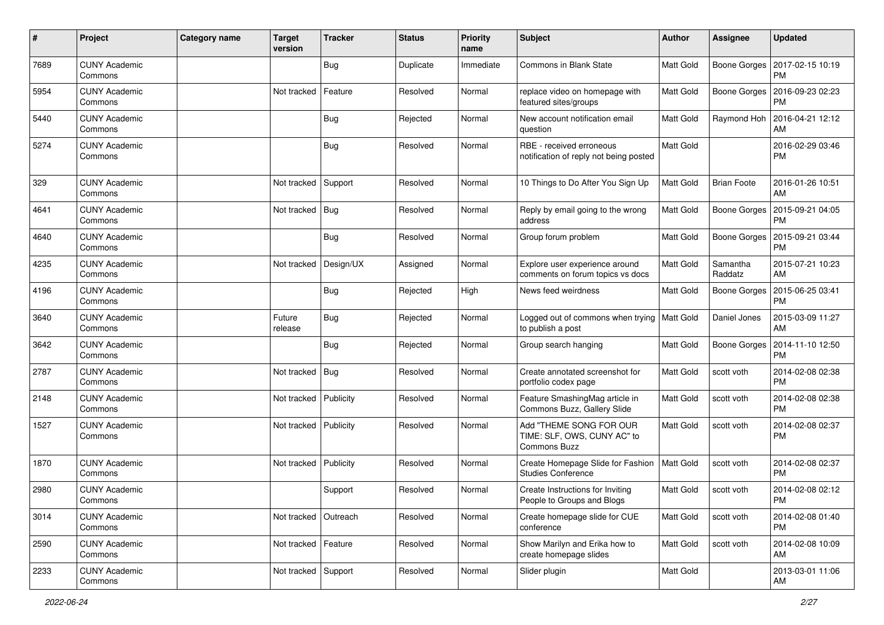| #    | Project                         | <b>Category name</b> | <b>Target</b><br>version | <b>Tracker</b> | <b>Status</b> | <b>Priority</b><br>name | Subject                                                                       | <b>Author</b> | <b>Assignee</b>     | <b>Updated</b>                |
|------|---------------------------------|----------------------|--------------------------|----------------|---------------|-------------------------|-------------------------------------------------------------------------------|---------------|---------------------|-------------------------------|
| 7689 | <b>CUNY Academic</b><br>Commons |                      |                          | Bug            | Duplicate     | Immediate               | Commons in Blank State                                                        | Matt Gold     | Boone Gorges        | 2017-02-15 10:19<br><b>PM</b> |
| 5954 | <b>CUNY Academic</b><br>Commons |                      | Not tracked              | Feature        | Resolved      | Normal                  | replace video on homepage with<br>featured sites/groups                       | Matt Gold     | Boone Gorges        | 2016-09-23 02:23<br><b>PM</b> |
| 5440 | <b>CUNY Academic</b><br>Commons |                      |                          | Bug            | Rejected      | Normal                  | New account notification email<br>question                                    | Matt Gold     | Raymond Hoh         | 2016-04-21 12:12<br>AM        |
| 5274 | <b>CUNY Academic</b><br>Commons |                      |                          | Bug            | Resolved      | Normal                  | RBE - received erroneous<br>notification of reply not being posted            | Matt Gold     |                     | 2016-02-29 03:46<br><b>PM</b> |
| 329  | <b>CUNY Academic</b><br>Commons |                      | Not tracked              | Support        | Resolved      | Normal                  | 10 Things to Do After You Sign Up                                             | Matt Gold     | <b>Brian Foote</b>  | 2016-01-26 10:51<br>AM        |
| 4641 | <b>CUNY Academic</b><br>Commons |                      | Not tracked              | Bug            | Resolved      | Normal                  | Reply by email going to the wrong<br>address                                  | Matt Gold     | Boone Gorges        | 2015-09-21 04:05<br><b>PM</b> |
| 4640 | <b>CUNY Academic</b><br>Commons |                      |                          | Bug            | Resolved      | Normal                  | Group forum problem                                                           | Matt Gold     | Boone Gorges        | 2015-09-21 03:44<br><b>PM</b> |
| 4235 | <b>CUNY Academic</b><br>Commons |                      | Not tracked              | Design/UX      | Assigned      | Normal                  | Explore user experience around<br>comments on forum topics vs docs            | Matt Gold     | Samantha<br>Raddatz | 2015-07-21 10:23<br>AM        |
| 4196 | <b>CUNY Academic</b><br>Commons |                      |                          | <b>Bug</b>     | Rejected      | High                    | News feed weirdness                                                           | Matt Gold     | Boone Gorges        | 2015-06-25 03:41<br><b>PM</b> |
| 3640 | <b>CUNY Academic</b><br>Commons |                      | Future<br>release        | Bug            | Rejected      | Normal                  | Logged out of commons when trying<br>to publish a post                        | Matt Gold     | Daniel Jones        | 2015-03-09 11:27<br>AM        |
| 3642 | <b>CUNY Academic</b><br>Commons |                      |                          | Bug            | Rejected      | Normal                  | Group search hanging                                                          | Matt Gold     | Boone Gorges        | 2014-11-10 12:50<br>PM        |
| 2787 | <b>CUNY Academic</b><br>Commons |                      | Not tracked              | Bug            | Resolved      | Normal                  | Create annotated screenshot for<br>portfolio codex page                       | Matt Gold     | scott voth          | 2014-02-08 02:38<br><b>PM</b> |
| 2148 | <b>CUNY Academic</b><br>Commons |                      | Not tracked              | Publicity      | Resolved      | Normal                  | Feature SmashingMag article in<br>Commons Buzz, Gallery Slide                 | Matt Gold     | scott voth          | 2014-02-08 02:38<br><b>PM</b> |
| 1527 | <b>CUNY Academic</b><br>Commons |                      | Not tracked   Publicity  |                | Resolved      | Normal                  | Add "THEME SONG FOR OUR<br>TIME: SLF, OWS, CUNY AC" to<br><b>Commons Buzz</b> | Matt Gold     | scott voth          | 2014-02-08 02:37<br><b>PM</b> |
| 1870 | <b>CUNY Academic</b><br>Commons |                      | Not tracked              | Publicity      | Resolved      | Normal                  | Create Homepage Slide for Fashion<br><b>Studies Conference</b>                | Matt Gold     | scott voth          | 2014-02-08 02:37<br><b>PM</b> |
| 2980 | CUNY Academic<br>Commons        |                      |                          | Support        | Resolved      | Normal                  | Create Instructions for Inviting<br>People to Groups and Blogs                | Matt Gold     | scott voth          | 2014-02-08 02:12<br>PM        |
| 3014 | <b>CUNY Academic</b><br>Commons |                      | Not tracked   Outreach   |                | Resolved      | Normal                  | Create homepage slide for CUE<br>conference                                   | Matt Gold     | scott voth          | 2014-02-08 01:40<br><b>PM</b> |
| 2590 | <b>CUNY Academic</b><br>Commons |                      | Not tracked   Feature    |                | Resolved      | Normal                  | Show Marilyn and Erika how to<br>create homepage slides                       | Matt Gold     | scott voth          | 2014-02-08 10:09<br>AM        |
| 2233 | <b>CUNY Academic</b><br>Commons |                      | Not tracked Support      |                | Resolved      | Normal                  | Slider plugin                                                                 | Matt Gold     |                     | 2013-03-01 11:06<br>AM        |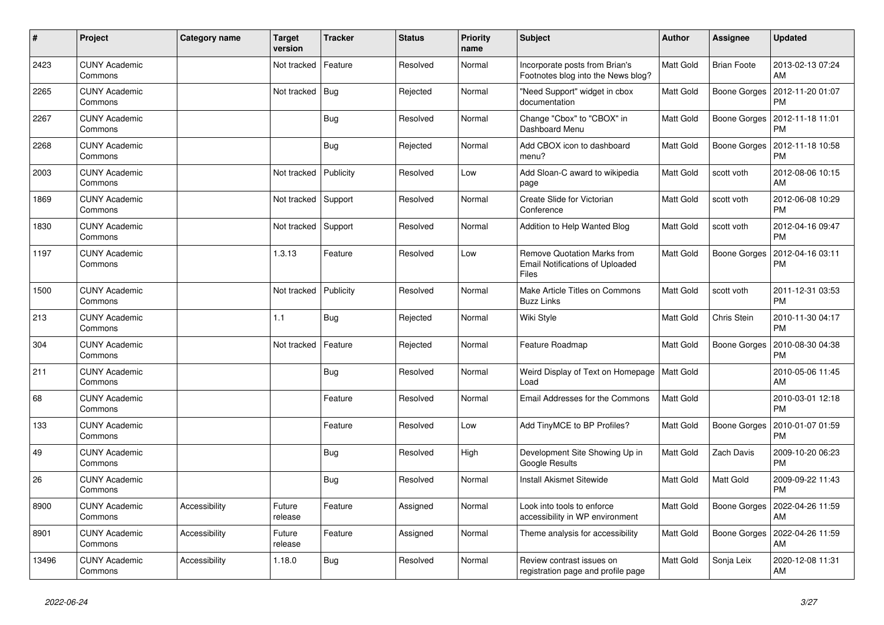| $\vert$ # | Project                         | Category name | <b>Target</b><br>version | <b>Tracker</b> | <b>Status</b> | <b>Priority</b><br>name | <b>Subject</b>                                                                        | <b>Author</b>    | <b>Assignee</b>    | <b>Updated</b>                |
|-----------|---------------------------------|---------------|--------------------------|----------------|---------------|-------------------------|---------------------------------------------------------------------------------------|------------------|--------------------|-------------------------------|
| 2423      | <b>CUNY Academic</b><br>Commons |               | Not tracked              | Feature        | Resolved      | Normal                  | Incorporate posts from Brian's<br>Footnotes blog into the News blog?                  | Matt Gold        | <b>Brian Foote</b> | 2013-02-13 07:24<br>AM        |
| 2265      | <b>CUNY Academic</b><br>Commons |               | Not tracked              | Bug            | Rejected      | Normal                  | "Need Support" widget in cbox<br>documentation                                        | Matt Gold        | Boone Gorges       | 2012-11-20 01:07<br><b>PM</b> |
| 2267      | <b>CUNY Academic</b><br>Commons |               |                          | Bug            | Resolved      | Normal                  | Change "Cbox" to "CBOX" in<br>Dashboard Menu                                          | Matt Gold        | Boone Gorges       | 2012-11-18 11:01<br><b>PM</b> |
| 2268      | <b>CUNY Academic</b><br>Commons |               |                          | <b>Bug</b>     | Rejected      | Normal                  | Add CBOX icon to dashboard<br>menu?                                                   | Matt Gold        | Boone Gorges       | 2012-11-18 10:58<br><b>PM</b> |
| 2003      | <b>CUNY Academic</b><br>Commons |               | Not tracked              | Publicity      | Resolved      | Low                     | Add Sloan-C award to wikipedia<br>page                                                | Matt Gold        | scott voth         | 2012-08-06 10:15<br>AM        |
| 1869      | <b>CUNY Academic</b><br>Commons |               | Not tracked              | Support        | Resolved      | Normal                  | Create Slide for Victorian<br>Conference                                              | Matt Gold        | scott voth         | 2012-06-08 10:29<br><b>PM</b> |
| 1830      | <b>CUNY Academic</b><br>Commons |               | Not tracked              | Support        | Resolved      | Normal                  | Addition to Help Wanted Blog                                                          | Matt Gold        | scott voth         | 2012-04-16 09:47<br><b>PM</b> |
| 1197      | <b>CUNY Academic</b><br>Commons |               | 1.3.13                   | Feature        | Resolved      | Low                     | Remove Quotation Marks from<br><b>Email Notifications of Uploaded</b><br><b>Files</b> | Matt Gold        | Boone Gorges       | 2012-04-16 03:11<br>PM        |
| 1500      | <b>CUNY Academic</b><br>Commons |               | Not tracked              | Publicity      | Resolved      | Normal                  | Make Article Titles on Commons<br><b>Buzz Links</b>                                   | Matt Gold        | scott voth         | 2011-12-31 03:53<br><b>PM</b> |
| 213       | <b>CUNY Academic</b><br>Commons |               | 1.1                      | <b>Bug</b>     | Rejected      | Normal                  | Wiki Style                                                                            | Matt Gold        | Chris Stein        | 2010-11-30 04:17<br><b>PM</b> |
| 304       | <b>CUNY Academic</b><br>Commons |               | Not tracked              | Feature        | Rejected      | Normal                  | Feature Roadmap                                                                       | Matt Gold        | Boone Gorges       | 2010-08-30 04:38<br><b>PM</b> |
| 211       | <b>CUNY Academic</b><br>Commons |               |                          | Bug            | Resolved      | Normal                  | Weird Display of Text on Homepage<br>Load                                             | <b>Matt Gold</b> |                    | 2010-05-06 11:45<br>AM        |
| 68        | <b>CUNY Academic</b><br>Commons |               |                          | Feature        | Resolved      | Normal                  | Email Addresses for the Commons                                                       | Matt Gold        |                    | 2010-03-01 12:18<br><b>PM</b> |
| 133       | <b>CUNY Academic</b><br>Commons |               |                          | Feature        | Resolved      | Low                     | Add TinyMCE to BP Profiles?                                                           | Matt Gold        | Boone Gorges       | 2010-01-07 01:59<br><b>PM</b> |
| 49        | <b>CUNY Academic</b><br>Commons |               |                          | <b>Bug</b>     | Resolved      | High                    | Development Site Showing Up in<br>Google Results                                      | Matt Gold        | Zach Davis         | 2009-10-20 06:23<br><b>PM</b> |
| 26        | <b>CUNY Academic</b><br>Commons |               |                          | <b>Bug</b>     | Resolved      | Normal                  | <b>Install Akismet Sitewide</b>                                                       | Matt Gold        | Matt Gold          | 2009-09-22 11:43<br><b>PM</b> |
| 8900      | <b>CUNY Academic</b><br>Commons | Accessibility | Future<br>release        | Feature        | Assigned      | Normal                  | Look into tools to enforce<br>accessibility in WP environment                         | Matt Gold        | Boone Gorges       | 2022-04-26 11:59<br>AM        |
| 8901      | <b>CUNY Academic</b><br>Commons | Accessibility | Future<br>release        | Feature        | Assigned      | Normal                  | Theme analysis for accessibility                                                      | Matt Gold        | Boone Gorges       | 2022-04-26 11:59<br>AM        |
| 13496     | <b>CUNY Academic</b><br>Commons | Accessibility | 1.18.0                   | Bug            | Resolved      | Normal                  | Review contrast issues on<br>registration page and profile page                       | Matt Gold        | Sonja Leix         | 2020-12-08 11:31<br>AM        |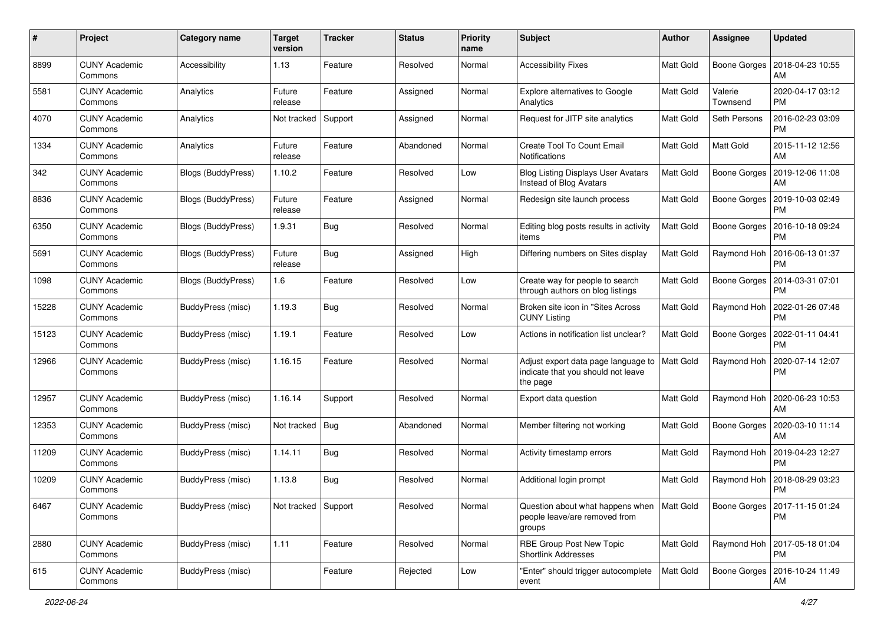| #     | Project                         | <b>Category name</b>      | <b>Target</b><br>version | <b>Tracker</b> | <b>Status</b> | <b>Priority</b><br>name | Subject                                                                                 | <b>Author</b>    | Assignee            | <b>Updated</b>                               |
|-------|---------------------------------|---------------------------|--------------------------|----------------|---------------|-------------------------|-----------------------------------------------------------------------------------------|------------------|---------------------|----------------------------------------------|
| 8899  | <b>CUNY Academic</b><br>Commons | Accessibility             | 1.13                     | Feature        | Resolved      | Normal                  | <b>Accessibility Fixes</b>                                                              | <b>Matt Gold</b> | Boone Gorges        | 2018-04-23 10:55<br>AM                       |
| 5581  | <b>CUNY Academic</b><br>Commons | Analytics                 | Future<br>release        | Feature        | Assigned      | Normal                  | <b>Explore alternatives to Google</b><br>Analytics                                      | Matt Gold        | Valerie<br>Townsend | 2020-04-17 03:12<br><b>PM</b>                |
| 4070  | <b>CUNY Academic</b><br>Commons | Analytics                 | Not tracked              | Support        | Assigned      | Normal                  | Request for JITP site analytics                                                         | <b>Matt Gold</b> | Seth Persons        | 2016-02-23 03:09<br>PM                       |
| 1334  | <b>CUNY Academic</b><br>Commons | Analytics                 | Future<br>release        | Feature        | Abandoned     | Normal                  | Create Tool To Count Email<br>Notifications                                             | <b>Matt Gold</b> | Matt Gold           | 2015-11-12 12:56<br>AM                       |
| 342   | <b>CUNY Academic</b><br>Commons | Blogs (BuddyPress)        | 1.10.2                   | Feature        | Resolved      | Low                     | <b>Blog Listing Displays User Avatars</b><br>Instead of Blog Avatars                    | <b>Matt Gold</b> | Boone Gorges        | 2019-12-06 11:08<br>AM                       |
| 8836  | <b>CUNY Academic</b><br>Commons | Blogs (BuddyPress)        | Future<br>release        | Feature        | Assigned      | Normal                  | Redesign site launch process                                                            | Matt Gold        | Boone Gorges        | 2019-10-03 02:49<br><b>PM</b>                |
| 6350  | <b>CUNY Academic</b><br>Commons | Blogs (BuddyPress)        | 1.9.31                   | Bug            | Resolved      | Normal                  | Editing blog posts results in activity<br>items                                         | Matt Gold        | Boone Gorges        | 2016-10-18 09:24<br>PМ                       |
| 5691  | <b>CUNY Academic</b><br>Commons | <b>Blogs (BuddyPress)</b> | Future<br>release        | Bug            | Assigned      | High                    | Differing numbers on Sites display                                                      | Matt Gold        | Raymond Hoh         | 2016-06-13 01:37<br><b>PM</b>                |
| 1098  | <b>CUNY Academic</b><br>Commons | Blogs (BuddyPress)        | 1.6                      | Feature        | Resolved      | Low                     | Create way for people to search<br>through authors on blog listings                     | Matt Gold        | Boone Gorges        | 2014-03-31 07:01<br><b>PM</b>                |
| 15228 | <b>CUNY Academic</b><br>Commons | <b>BuddyPress (misc)</b>  | 1.19.3                   | Bug            | Resolved      | Normal                  | Broken site icon in "Sites Across<br><b>CUNY Listing</b>                                | Matt Gold        | Raymond Hoh         | 2022-01-26 07:48<br><b>PM</b>                |
| 15123 | <b>CUNY Academic</b><br>Commons | <b>BuddyPress (misc)</b>  | 1.19.1                   | Feature        | Resolved      | Low                     | Actions in notification list unclear?                                                   | <b>Matt Gold</b> | Boone Gorges        | 2022-01-11 04:41<br><b>PM</b>                |
| 12966 | <b>CUNY Academic</b><br>Commons | <b>BuddyPress (misc)</b>  | 1.16.15                  | Feature        | Resolved      | Normal                  | Adjust export data page language to<br>indicate that you should not leave<br>the page   | Matt Gold        | Raymond Hoh         | 2020-07-14 12:07<br><b>PM</b>                |
| 12957 | <b>CUNY Academic</b><br>Commons | <b>BuddyPress</b> (misc)  | 1.16.14                  | Support        | Resolved      | Normal                  | Export data question                                                                    | <b>Matt Gold</b> | Raymond Hoh         | 2020-06-23 10:53<br>AM                       |
| 12353 | <b>CUNY Academic</b><br>Commons | BuddyPress (misc)         | Not tracked              | <b>Bug</b>     | Abandoned     | Normal                  | Member filtering not working                                                            | <b>Matt Gold</b> | Boone Gorges        | 2020-03-10 11:14<br>AM                       |
| 11209 | <b>CUNY Academic</b><br>Commons | BuddyPress (misc)         | 1.14.11                  | Bug            | Resolved      | Normal                  | Activity timestamp errors                                                               | <b>Matt Gold</b> | Raymond Hoh         | 2019-04-23 12:27<br><b>PM</b>                |
| 10209 | <b>CUNY Academic</b><br>Commons | BuddyPress (misc)         | 1.13.8                   | Bug            | Resolved      | Normal                  | Additional login prompt                                                                 | Matt Gold        | Raymond Hoh         | 2018-08-29 03:23<br><b>PM</b>                |
| 6467  | <b>CUNY Academic</b><br>Commons | BuddyPress (misc)         | Not tracked Support      |                | Resolved      | Normal                  | Question about what happens when   Matt Gold<br>people leave/are removed from<br>groups |                  |                     | Boone Gorges   2017-11-15 01:24<br><b>PM</b> |
| 2880  | <b>CUNY Academic</b><br>Commons | <b>BuddyPress</b> (misc)  | 1.11                     | Feature        | Resolved      | Normal                  | RBE Group Post New Topic<br>Shortlink Addresses                                         | Matt Gold        |                     | Raymond Hoh   2017-05-18 01:04<br><b>PM</b>  |
| 615   | <b>CUNY Academic</b><br>Commons | BuddyPress (misc)         |                          | Feature        | Rejected      | Low                     | "Enter" should trigger autocomplete<br>event                                            | Matt Gold        | Boone Gorges        | 2016-10-24 11:49<br>AM                       |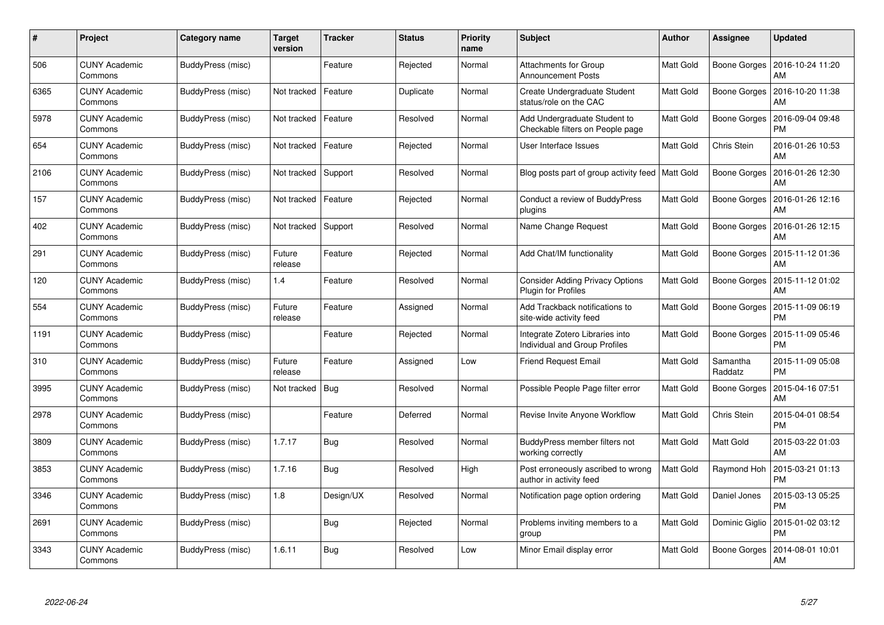| #    | Project                         | Category name     | <b>Target</b><br>version | <b>Tracker</b> | <b>Status</b> | <b>Priority</b><br>name | <b>Subject</b>                                                       | <b>Author</b> | Assignee            | <b>Updated</b>                |
|------|---------------------------------|-------------------|--------------------------|----------------|---------------|-------------------------|----------------------------------------------------------------------|---------------|---------------------|-------------------------------|
| 506  | <b>CUNY Academic</b><br>Commons | BuddyPress (misc) |                          | Feature        | Rejected      | Normal                  | Attachments for Group<br><b>Announcement Posts</b>                   | Matt Gold     | Boone Gorges        | 2016-10-24 11:20<br>AM        |
| 6365 | <b>CUNY Academic</b><br>Commons | BuddyPress (misc) | Not tracked              | Feature        | Duplicate     | Normal                  | Create Undergraduate Student<br>status/role on the CAC               | Matt Gold     | Boone Gorges        | 2016-10-20 11:38<br>AM        |
| 5978 | <b>CUNY Academic</b><br>Commons | BuddyPress (misc) | Not tracked              | Feature        | Resolved      | Normal                  | Add Undergraduate Student to<br>Checkable filters on People page     | Matt Gold     | Boone Gorges        | 2016-09-04 09:48<br><b>PM</b> |
| 654  | <b>CUNY Academic</b><br>Commons | BuddyPress (misc) | Not tracked              | Feature        | Rejected      | Normal                  | User Interface Issues                                                | Matt Gold     | Chris Stein         | 2016-01-26 10:53<br>AM        |
| 2106 | <b>CUNY Academic</b><br>Commons | BuddyPress (misc) | Not tracked              | Support        | Resolved      | Normal                  | Blog posts part of group activity feed                               | Matt Gold     | Boone Gorges        | 2016-01-26 12:30<br>AM        |
| 157  | <b>CUNY Academic</b><br>Commons | BuddyPress (misc) | Not tracked              | Feature        | Rejected      | Normal                  | Conduct a review of BuddyPress<br>plugins                            | Matt Gold     | Boone Gorges        | 2016-01-26 12:16<br>AM        |
| 402  | <b>CUNY Academic</b><br>Commons | BuddyPress (misc) | Not tracked              | Support        | Resolved      | Normal                  | Name Change Request                                                  | Matt Gold     | <b>Boone Gorges</b> | 2016-01-26 12:15<br>AM        |
| 291  | <b>CUNY Academic</b><br>Commons | BuddyPress (misc) | Future<br>release        | Feature        | Rejected      | Normal                  | Add Chat/IM functionality                                            | Matt Gold     | Boone Gorges        | 2015-11-12 01:36<br>AM        |
| 120  | <b>CUNY Academic</b><br>Commons | BuddyPress (misc) | 1.4                      | Feature        | Resolved      | Normal                  | <b>Consider Adding Privacy Options</b><br><b>Plugin for Profiles</b> | Matt Gold     | Boone Gorges        | 2015-11-12 01:02<br>AM        |
| 554  | <b>CUNY Academic</b><br>Commons | BuddyPress (misc) | Future<br>release        | Feature        | Assigned      | Normal                  | Add Trackback notifications to<br>site-wide activity feed            | Matt Gold     | Boone Gorges        | 2015-11-09 06:19<br>PM        |
| 1191 | <b>CUNY Academic</b><br>Commons | BuddyPress (misc) |                          | Feature        | Rejected      | Normal                  | Integrate Zotero Libraries into<br>Individual and Group Profiles     | Matt Gold     | Boone Gorges        | 2015-11-09 05:46<br><b>PM</b> |
| 310  | <b>CUNY Academic</b><br>Commons | BuddyPress (misc) | Future<br>release        | Feature        | Assigned      | Low                     | <b>Friend Request Email</b>                                          | Matt Gold     | Samantha<br>Raddatz | 2015-11-09 05:08<br><b>PM</b> |
| 3995 | <b>CUNY Academic</b><br>Commons | BuddyPress (misc) | Not tracked              | <b>Bug</b>     | Resolved      | Normal                  | Possible People Page filter error                                    | Matt Gold     | Boone Gorges        | 2015-04-16 07:51<br>AM        |
| 2978 | <b>CUNY Academic</b><br>Commons | BuddyPress (misc) |                          | Feature        | Deferred      | Normal                  | Revise Invite Anyone Workflow                                        | Matt Gold     | Chris Stein         | 2015-04-01 08:54<br><b>PM</b> |
| 3809 | <b>CUNY Academic</b><br>Commons | BuddyPress (misc) | 1.7.17                   | Bug            | Resolved      | Normal                  | BuddyPress member filters not<br>working correctly                   | Matt Gold     | Matt Gold           | 2015-03-22 01:03<br>AM        |
| 3853 | <b>CUNY Academic</b><br>Commons | BuddyPress (misc) | 1.7.16                   | Bug            | Resolved      | High                    | Post erroneously ascribed to wrong<br>author in activity feed        | Matt Gold     | Raymond Hoh         | 2015-03-21 01:13<br><b>PM</b> |
| 3346 | <b>CUNY Academic</b><br>Commons | BuddyPress (misc) | 1.8                      | Design/UX      | Resolved      | Normal                  | Notification page option ordering                                    | Matt Gold     | Daniel Jones        | 2015-03-13 05:25<br><b>PM</b> |
| 2691 | <b>CUNY Academic</b><br>Commons | BuddyPress (misc) |                          | Bug            | Rejected      | Normal                  | Problems inviting members to a<br>group                              | Matt Gold     | Dominic Giglio      | 2015-01-02 03:12<br><b>PM</b> |
| 3343 | CUNY Academic<br>Commons        | BuddyPress (misc) | 1.6.11                   | Bug            | Resolved      | Low                     | Minor Email display error                                            | Matt Gold     | Boone Gorges        | 2014-08-01 10:01<br>AM        |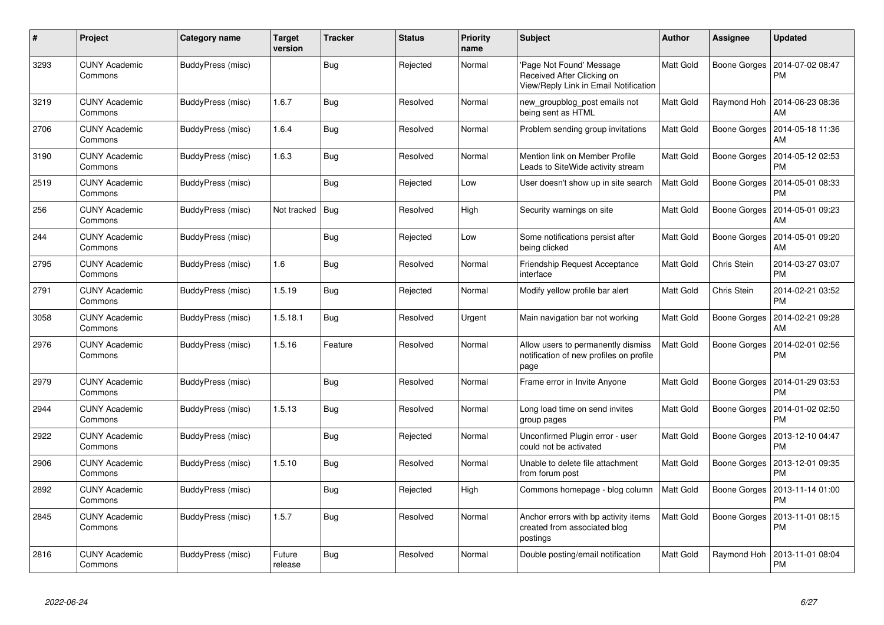| $\#$ | Project                         | Category name     | Target<br>version | <b>Tracker</b> | <b>Status</b> | <b>Priority</b><br>name | <b>Subject</b>                                                                                  | <b>Author</b> | Assignee     | <b>Updated</b>                |
|------|---------------------------------|-------------------|-------------------|----------------|---------------|-------------------------|-------------------------------------------------------------------------------------------------|---------------|--------------|-------------------------------|
| 3293 | <b>CUNY Academic</b><br>Commons | BuddyPress (misc) |                   | <b>Bug</b>     | Rejected      | Normal                  | 'Page Not Found' Message<br>Received After Clicking on<br>View/Reply Link in Email Notification | Matt Gold     | Boone Gorges | 2014-07-02 08:47<br><b>PM</b> |
| 3219 | <b>CUNY Academic</b><br>Commons | BuddyPress (misc) | 1.6.7             | Bug            | Resolved      | Normal                  | new_groupblog_post emails not<br>being sent as HTML                                             | Matt Gold     | Raymond Hoh  | 2014-06-23 08:36<br>AM        |
| 2706 | <b>CUNY Academic</b><br>Commons | BuddyPress (misc) | 1.6.4             | <b>Bug</b>     | Resolved      | Normal                  | Problem sending group invitations                                                               | Matt Gold     | Boone Gorges | 2014-05-18 11:36<br>AM        |
| 3190 | <b>CUNY Academic</b><br>Commons | BuddyPress (misc) | 1.6.3             | Bug            | Resolved      | Normal                  | Mention link on Member Profile<br>Leads to SiteWide activity stream                             | Matt Gold     | Boone Gorges | 2014-05-12 02:53<br><b>PM</b> |
| 2519 | CUNY Academic<br>Commons        | BuddyPress (misc) |                   | Bug            | Rejected      | Low                     | User doesn't show up in site search                                                             | Matt Gold     | Boone Gorges | 2014-05-01 08:33<br><b>PM</b> |
| 256  | <b>CUNY Academic</b><br>Commons | BuddyPress (misc) | Not tracked   Bug |                | Resolved      | High                    | Security warnings on site                                                                       | Matt Gold     | Boone Gorges | 2014-05-01 09:23<br>AM        |
| 244  | CUNY Academic<br>Commons        | BuddyPress (misc) |                   | <b>Bug</b>     | Rejected      | Low                     | Some notifications persist after<br>being clicked                                               | Matt Gold     | Boone Gorges | 2014-05-01 09:20<br>AM        |
| 2795 | CUNY Academic<br>Commons        | BuddyPress (misc) | 1.6               | Bug            | Resolved      | Normal                  | <b>Friendship Request Acceptance</b><br>interface                                               | Matt Gold     | Chris Stein  | 2014-03-27 03:07<br><b>PM</b> |
| 2791 | <b>CUNY Academic</b><br>Commons | BuddyPress (misc) | 1.5.19            | <b>Bug</b>     | Rejected      | Normal                  | Modify yellow profile bar alert                                                                 | Matt Gold     | Chris Stein  | 2014-02-21 03:52<br><b>PM</b> |
| 3058 | <b>CUNY Academic</b><br>Commons | BuddyPress (misc) | 1.5.18.1          | <b>Bug</b>     | Resolved      | Urgent                  | Main navigation bar not working                                                                 | Matt Gold     | Boone Gorges | 2014-02-21 09:28<br>AM        |
| 2976 | <b>CUNY Academic</b><br>Commons | BuddyPress (misc) | 1.5.16            | Feature        | Resolved      | Normal                  | Allow users to permanently dismiss<br>notification of new profiles on profile<br>page           | Matt Gold     | Boone Gorges | 2014-02-01 02:56<br><b>PM</b> |
| 2979 | <b>CUNY Academic</b><br>Commons | BuddyPress (misc) |                   | <b>Bug</b>     | Resolved      | Normal                  | Frame error in Invite Anyone                                                                    | Matt Gold     | Boone Gorges | 2014-01-29 03:53<br><b>PM</b> |
| 2944 | <b>CUNY Academic</b><br>Commons | BuddyPress (misc) | 1.5.13            | <b>Bug</b>     | Resolved      | Normal                  | Long load time on send invites<br>group pages                                                   | Matt Gold     | Boone Gorges | 2014-01-02 02:50<br><b>PM</b> |
| 2922 | <b>CUNY Academic</b><br>Commons | BuddyPress (misc) |                   | <b>Bug</b>     | Rejected      | Normal                  | Unconfirmed Plugin error - user<br>could not be activated                                       | Matt Gold     | Boone Gorges | 2013-12-10 04:47<br><b>PM</b> |
| 2906 | <b>CUNY Academic</b><br>Commons | BuddyPress (misc) | 1.5.10            | <b>Bug</b>     | Resolved      | Normal                  | Unable to delete file attachment<br>from forum post                                             | Matt Gold     | Boone Gorges | 2013-12-01 09:35<br><b>PM</b> |
| 2892 | <b>CUNY Academic</b><br>Commons | BuddyPress (misc) |                   | Bug            | Rejected      | High                    | Commons homepage - blog column                                                                  | Matt Gold     | Boone Gorges | 2013-11-14 01:00<br><b>PM</b> |
| 2845 | CUNY Academic<br>Commons        | BuddyPress (misc) | 1.5.7             | Bug            | Resolved      | Normal                  | Anchor errors with bp activity items<br>created from associated blog<br>postings                | Matt Gold     | Boone Gorges | 2013-11-01 08:15<br><b>PM</b> |
| 2816 | <b>CUNY Academic</b><br>Commons | BuddyPress (misc) | Future<br>release | <b>Bug</b>     | Resolved      | Normal                  | Double posting/email notification                                                               | Matt Gold     | Raymond Hoh  | 2013-11-01 08:04<br>PM        |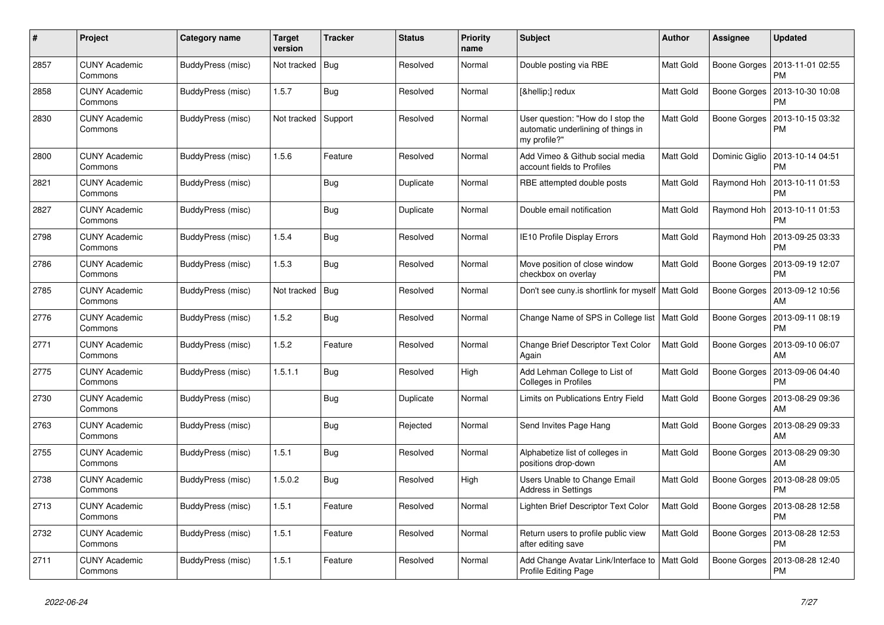| #    | Project                         | Category name            | <b>Target</b><br>version | <b>Tracker</b> | <b>Status</b> | <b>Priority</b><br>name | <b>Subject</b>                                                                          | <b>Author</b>    | Assignee            | <b>Updated</b>                |
|------|---------------------------------|--------------------------|--------------------------|----------------|---------------|-------------------------|-----------------------------------------------------------------------------------------|------------------|---------------------|-------------------------------|
| 2857 | <b>CUNY Academic</b><br>Commons | BuddyPress (misc)        | Not tracked              | Bug            | Resolved      | Normal                  | Double posting via RBE                                                                  | Matt Gold        | Boone Gorges        | 2013-11-01 02:55<br><b>PM</b> |
| 2858 | <b>CUNY Academic</b><br>Commons | BuddyPress (misc)        | 1.5.7                    | Bug            | Resolved      | Normal                  | […] redux                                                                               | Matt Gold        | Boone Gorges        | 2013-10-30 10:08<br><b>PM</b> |
| 2830 | <b>CUNY Academic</b><br>Commons | BuddyPress (misc)        | Not tracked              | Support        | Resolved      | Normal                  | User question: "How do I stop the<br>automatic underlining of things in<br>my profile?" | Matt Gold        | Boone Gorges        | 2013-10-15 03:32<br><b>PM</b> |
| 2800 | <b>CUNY Academic</b><br>Commons | BuddyPress (misc)        | 1.5.6                    | Feature        | Resolved      | Normal                  | Add Vimeo & Github social media<br>account fields to Profiles                           | Matt Gold        | Dominic Giglio      | 2013-10-14 04:51<br><b>PM</b> |
| 2821 | <b>CUNY Academic</b><br>Commons | BuddyPress (misc)        |                          | Bug            | Duplicate     | Normal                  | RBE attempted double posts                                                              | Matt Gold        | Raymond Hoh         | 2013-10-11 01:53<br><b>PM</b> |
| 2827 | <b>CUNY Academic</b><br>Commons | BuddyPress (misc)        |                          | Bug            | Duplicate     | Normal                  | Double email notification                                                               | Matt Gold        | Raymond Hoh         | 2013-10-11 01:53<br><b>PM</b> |
| 2798 | <b>CUNY Academic</b><br>Commons | BuddyPress (misc)        | 1.5.4                    | Bug            | Resolved      | Normal                  | IE10 Profile Display Errors                                                             | Matt Gold        | Raymond Hoh         | 2013-09-25 03:33<br><b>PM</b> |
| 2786 | <b>CUNY Academic</b><br>Commons | BuddyPress (misc)        | 1.5.3                    | Bug            | Resolved      | Normal                  | Move position of close window<br>checkbox on overlay                                    | Matt Gold        | Boone Gorges        | 2013-09-19 12:07<br><b>PM</b> |
| 2785 | <b>CUNY Academic</b><br>Commons | BuddyPress (misc)        | Not tracked              | <b>Bug</b>     | Resolved      | Normal                  | Don't see cuny is shortlink for myself   Matt Gold                                      |                  | Boone Gorges        | 2013-09-12 10:56<br>AM        |
| 2776 | <b>CUNY Academic</b><br>Commons | BuddyPress (misc)        | 1.5.2                    | Bug            | Resolved      | Normal                  | Change Name of SPS in College list   Matt Gold                                          |                  | <b>Boone Gorges</b> | 2013-09-11 08:19<br><b>PM</b> |
| 2771 | <b>CUNY Academic</b><br>Commons | BuddyPress (misc)        | 1.5.2                    | Feature        | Resolved      | Normal                  | Change Brief Descriptor Text Color<br>Again                                             | Matt Gold        | Boone Gorges        | 2013-09-10 06:07<br>AM        |
| 2775 | <b>CUNY Academic</b><br>Commons | BuddyPress (misc)        | 1.5.1.1                  | Bug            | Resolved      | High                    | Add Lehman College to List of<br>Colleges in Profiles                                   | Matt Gold        | Boone Gorges        | 2013-09-06 04:40<br><b>PM</b> |
| 2730 | <b>CUNY Academic</b><br>Commons | BuddyPress (misc)        |                          | Bug            | Duplicate     | Normal                  | Limits on Publications Entry Field                                                      | Matt Gold        | Boone Gorges        | 2013-08-29 09:36<br>AM        |
| 2763 | <b>CUNY Academic</b><br>Commons | BuddyPress (misc)        |                          | Bug            | Rejected      | Normal                  | Send Invites Page Hang                                                                  | Matt Gold        | Boone Gorges        | 2013-08-29 09:33<br>AM        |
| 2755 | <b>CUNY Academic</b><br>Commons | BuddyPress (misc)        | 1.5.1                    | Bug            | Resolved      | Normal                  | Alphabetize list of colleges in<br>positions drop-down                                  | Matt Gold        | Boone Gorges        | 2013-08-29 09:30<br>AM        |
| 2738 | <b>CUNY Academic</b><br>Commons | <b>BuddyPress (misc)</b> | 1.5.0.2                  | Bug            | Resolved      | High                    | Users Unable to Change Email<br>Address in Settings                                     | Matt Gold        | Boone Gorges        | 2013-08-28 09:05<br><b>PM</b> |
| 2713 | <b>CUNY Academic</b><br>Commons | BuddyPress (misc)        | 1.5.1                    | Feature        | Resolved      | Normal                  | Lighten Brief Descriptor Text Color                                                     | Matt Gold        | Boone Gorges        | 2013-08-28 12:58<br><b>PM</b> |
| 2732 | <b>CUNY Academic</b><br>Commons | BuddyPress (misc)        | 1.5.1                    | Feature        | Resolved      | Normal                  | Return users to profile public view<br>after editing save                               | Matt Gold        | Boone Gorges        | 2013-08-28 12:53<br><b>PM</b> |
| 2711 | <b>CUNY Academic</b><br>Commons | BuddyPress (misc)        | 1.5.1                    | Feature        | Resolved      | Normal                  | Add Change Avatar Link/Interface to<br>Profile Editing Page                             | <b>Matt Gold</b> | Boone Gorges        | 2013-08-28 12:40<br>PM        |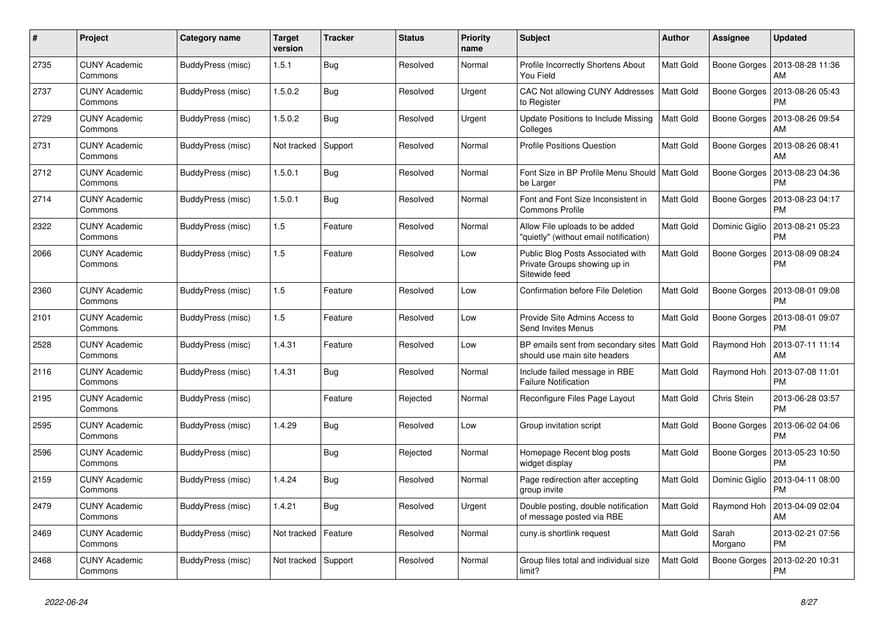| #    | Project                         | Category name            | <b>Target</b><br>version | <b>Tracker</b> | <b>Status</b> | <b>Priority</b><br>name | <b>Subject</b>                                                                     | <b>Author</b> | Assignee         | <b>Updated</b>                |
|------|---------------------------------|--------------------------|--------------------------|----------------|---------------|-------------------------|------------------------------------------------------------------------------------|---------------|------------------|-------------------------------|
| 2735 | <b>CUNY Academic</b><br>Commons | BuddyPress (misc)        | 1.5.1                    | <b>Bug</b>     | Resolved      | Normal                  | Profile Incorrectly Shortens About<br>You Field                                    | Matt Gold     | Boone Gorges     | 2013-08-28 11:36<br>AM        |
| 2737 | <b>CUNY Academic</b><br>Commons | BuddyPress (misc)        | 1.5.0.2                  | Bug            | Resolved      | Urgent                  | CAC Not allowing CUNY Addresses<br>to Register                                     | Matt Gold     | Boone Gorges     | 2013-08-26 05:43<br><b>PM</b> |
| 2729 | <b>CUNY Academic</b><br>Commons | BuddyPress (misc)        | 1.5.0.2                  | Bug            | Resolved      | Urgent                  | Update Positions to Include Missing<br>Colleges                                    | Matt Gold     | Boone Gorges     | 2013-08-26 09:54<br>AM        |
| 2731 | <b>CUNY Academic</b><br>Commons | BuddyPress (misc)        | Not tracked              | Support        | Resolved      | Normal                  | <b>Profile Positions Question</b>                                                  | Matt Gold     | Boone Gorges     | 2013-08-26 08:41<br>AM        |
| 2712 | <b>CUNY Academic</b><br>Commons | BuddyPress (misc)        | 1.5.0.1                  | <b>Bug</b>     | Resolved      | Normal                  | Font Size in BP Profile Menu Should   Matt Gold<br>be Larger                       |               | Boone Gorges     | 2013-08-23 04:36<br><b>PM</b> |
| 2714 | <b>CUNY Academic</b><br>Commons | BuddyPress (misc)        | 1.5.0.1                  | Bug            | Resolved      | Normal                  | Font and Font Size Inconsistent in<br><b>Commons Profile</b>                       | Matt Gold     | Boone Gorges     | 2013-08-23 04:17<br><b>PM</b> |
| 2322 | <b>CUNY Academic</b><br>Commons | BuddyPress (misc)        | 1.5                      | Feature        | Resolved      | Normal                  | Allow File uploads to be added<br>"quietly" (without email notification)           | Matt Gold     | Dominic Giglio   | 2013-08-21 05:23<br><b>PM</b> |
| 2066 | CUNY Academic<br>Commons        | <b>BuddyPress (misc)</b> | 1.5                      | Feature        | Resolved      | Low                     | Public Blog Posts Associated with<br>Private Groups showing up in<br>Sitewide feed | Matt Gold     | Boone Gorges     | 2013-08-09 08:24<br>PM        |
| 2360 | <b>CUNY Academic</b><br>Commons | BuddyPress (misc)        | 1.5                      | Feature        | Resolved      | Low                     | Confirmation before File Deletion                                                  | Matt Gold     | Boone Gorges     | 2013-08-01 09:08<br><b>PM</b> |
| 2101 | <b>CUNY Academic</b><br>Commons | BuddyPress (misc)        | 1.5                      | Feature        | Resolved      | Low                     | Provide Site Admins Access to<br>Send Invites Menus                                | Matt Gold     | Boone Gorges     | 2013-08-01 09:07<br><b>PM</b> |
| 2528 | <b>CUNY Academic</b><br>Commons | BuddyPress (misc)        | 1.4.31                   | Feature        | Resolved      | Low                     | BP emails sent from secondary sites   Matt Gold<br>should use main site headers    |               | Raymond Hoh      | 2013-07-11 11:14<br>AM        |
| 2116 | <b>CUNY Academic</b><br>Commons | BuddyPress (misc)        | 1.4.31                   | Bug            | Resolved      | Normal                  | Include failed message in RBE<br><b>Failure Notification</b>                       | Matt Gold     | Raymond Hoh      | 2013-07-08 11:01<br><b>PM</b> |
| 2195 | <b>CUNY Academic</b><br>Commons | BuddyPress (misc)        |                          | Feature        | Rejected      | Normal                  | Reconfigure Files Page Layout                                                      | Matt Gold     | Chris Stein      | 2013-06-28 03:57<br><b>PM</b> |
| 2595 | <b>CUNY Academic</b><br>Commons | BuddyPress (misc)        | 1.4.29                   | Bug            | Resolved      | Low                     | Group invitation script                                                            | Matt Gold     | Boone Gorges     | 2013-06-02 04:06<br><b>PM</b> |
| 2596 | <b>CUNY Academic</b><br>Commons | BuddyPress (misc)        |                          | Bug            | Rejected      | Normal                  | Homepage Recent blog posts<br>widget display                                       | Matt Gold     | Boone Gorges     | 2013-05-23 10:50<br><b>PM</b> |
| 2159 | <b>CUNY Academic</b><br>Commons | BuddyPress (misc)        | 1.4.24                   | Bug            | Resolved      | Normal                  | Page redirection after accepting<br>group invite                                   | Matt Gold     | Dominic Giglio   | 2013-04-11 08:00<br><b>PM</b> |
| 2479 | <b>CUNY Academic</b><br>Commons | BuddyPress (misc)        | 1.4.21                   | Bug            | Resolved      | Urgent                  | Double posting, double notification<br>of message posted via RBE                   | Matt Gold     | Raymond Hoh      | 2013-04-09 02:04<br>AM        |
| 2469 | <b>CUNY Academic</b><br>Commons | BuddyPress (misc)        | Not tracked              | Feature        | Resolved      | Normal                  | cuny.is shortlink request                                                          | Matt Gold     | Sarah<br>Morgano | 2013-02-21 07:56<br><b>PM</b> |
| 2468 | <b>CUNY Academic</b><br>Commons | BuddyPress (misc)        | Not tracked              | Support        | Resolved      | Normal                  | Group files total and individual size<br>limit?                                    | Matt Gold     | Boone Gorges     | 2013-02-20 10:31<br><b>PM</b> |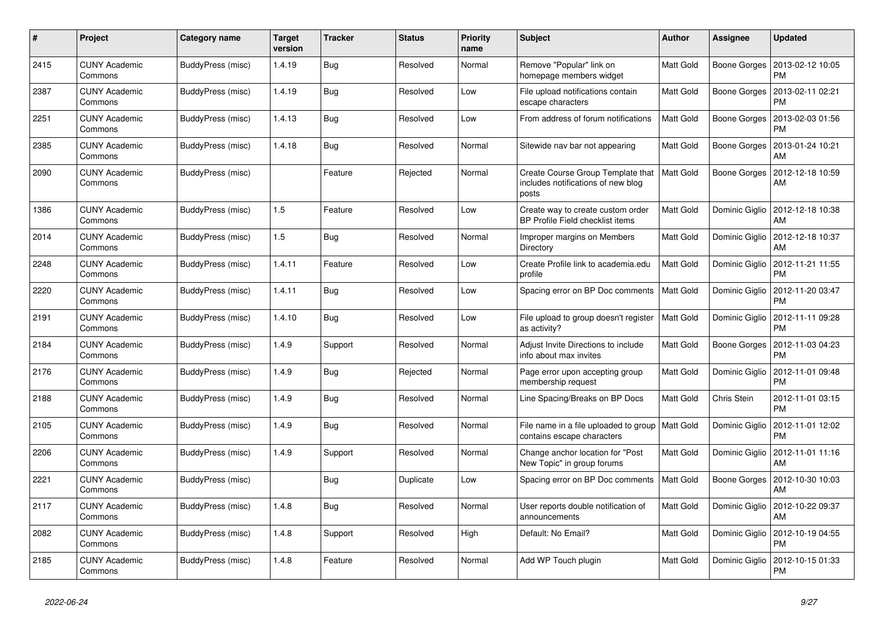| #    | Project                         | Category name     | <b>Target</b><br>version | <b>Tracker</b> | <b>Status</b> | <b>Priority</b><br>name | <b>Subject</b>                                                                   | <b>Author</b> | Assignee       | <b>Updated</b>                |
|------|---------------------------------|-------------------|--------------------------|----------------|---------------|-------------------------|----------------------------------------------------------------------------------|---------------|----------------|-------------------------------|
| 2415 | <b>CUNY Academic</b><br>Commons | BuddyPress (misc) | 1.4.19                   | Bug            | Resolved      | Normal                  | Remove "Popular" link on<br>homepage members widget                              | Matt Gold     | Boone Gorges   | 2013-02-12 10:05<br><b>PM</b> |
| 2387 | <b>CUNY Academic</b><br>Commons | BuddyPress (misc) | 1.4.19                   | <b>Bug</b>     | Resolved      | Low                     | File upload notifications contain<br>escape characters                           | Matt Gold     | Boone Gorges   | 2013-02-11 02:21<br><b>PM</b> |
| 2251 | <b>CUNY Academic</b><br>Commons | BuddyPress (misc) | 1.4.13                   | Bug            | Resolved      | Low                     | From address of forum notifications                                              | Matt Gold     | Boone Gorges   | 2013-02-03 01:56<br>PM        |
| 2385 | <b>CUNY Academic</b><br>Commons | BuddyPress (misc) | 1.4.18                   | Bug            | Resolved      | Normal                  | Sitewide nav bar not appearing                                                   | Matt Gold     | Boone Gorges   | 2013-01-24 10:21<br>AM        |
| 2090 | <b>CUNY Academic</b><br>Commons | BuddyPress (misc) |                          | Feature        | Rejected      | Normal                  | Create Course Group Template that<br>includes notifications of new blog<br>posts | Matt Gold     | Boone Gorges   | 2012-12-18 10:59<br>AM        |
| 1386 | <b>CUNY Academic</b><br>Commons | BuddyPress (misc) | 1.5                      | Feature        | Resolved      | Low                     | Create way to create custom order<br><b>BP Profile Field checklist items</b>     | Matt Gold     | Dominic Giglio | 2012-12-18 10:38<br>AM        |
| 2014 | <b>CUNY Academic</b><br>Commons | BuddyPress (misc) | 1.5                      | Bug            | Resolved      | Normal                  | Improper margins on Members<br>Directory                                         | Matt Gold     | Dominic Giglio | 2012-12-18 10:37<br>AM        |
| 2248 | <b>CUNY Academic</b><br>Commons | BuddyPress (misc) | 1.4.11                   | Feature        | Resolved      | Low                     | Create Profile link to academia.edu<br>profile                                   | Matt Gold     | Dominic Giglio | 2012-11-21 11:55<br><b>PM</b> |
| 2220 | <b>CUNY Academic</b><br>Commons | BuddyPress (misc) | 1.4.11                   | Bug            | Resolved      | Low                     | Spacing error on BP Doc comments                                                 | Matt Gold     | Dominic Giglio | 2012-11-20 03:47<br><b>PM</b> |
| 2191 | <b>CUNY Academic</b><br>Commons | BuddyPress (misc) | 1.4.10                   | Bug            | Resolved      | Low                     | File upload to group doesn't register<br>as activity?                            | Matt Gold     | Dominic Giglio | 2012-11-11 09:28<br><b>PM</b> |
| 2184 | <b>CUNY Academic</b><br>Commons | BuddyPress (misc) | 1.4.9                    | Support        | Resolved      | Normal                  | Adjust Invite Directions to include<br>info about max invites                    | Matt Gold     | Boone Gorges   | 2012-11-03 04:23<br><b>PM</b> |
| 2176 | <b>CUNY Academic</b><br>Commons | BuddyPress (misc) | 1.4.9                    | Bug            | Rejected      | Normal                  | Page error upon accepting group<br>membership request                            | Matt Gold     | Dominic Giglio | 2012-11-01 09:48<br><b>PM</b> |
| 2188 | <b>CUNY Academic</b><br>Commons | BuddyPress (misc) | 1.4.9                    | Bug            | Resolved      | Normal                  | Line Spacing/Breaks on BP Docs                                                   | Matt Gold     | Chris Stein    | 2012-11-01 03:15<br><b>PM</b> |
| 2105 | <b>CUNY Academic</b><br>Commons | BuddyPress (misc) | 1.4.9                    | Bug            | Resolved      | Normal                  | File name in a file uploaded to group<br>contains escape characters              | Matt Gold     | Dominic Giglio | 2012-11-01 12:02<br><b>PM</b> |
| 2206 | <b>CUNY Academic</b><br>Commons | BuddyPress (misc) | 1.4.9                    | Support        | Resolved      | Normal                  | Change anchor location for "Post<br>New Topic" in group forums                   | Matt Gold     | Dominic Giglio | 2012-11-01 11:16<br>AM        |
| 2221 | <b>CUNY Academic</b><br>Commons | BuddyPress (misc) |                          | Bug            | Duplicate     | Low                     | Spacing error on BP Doc comments                                                 | Matt Gold     | Boone Gorges   | 2012-10-30 10:03<br>AM        |
| 2117 | <b>CUNY Academic</b><br>Commons | BuddyPress (misc) | 1.4.8                    | Bug            | Resolved      | Normal                  | User reports double notification of<br>announcements                             | Matt Gold     | Dominic Giglio | 2012-10-22 09:37<br>AM        |
| 2082 | <b>CUNY Academic</b><br>Commons | BuddyPress (misc) | 1.4.8                    | Support        | Resolved      | High                    | Default: No Email?                                                               | Matt Gold     | Dominic Giglio | 2012-10-19 04:55<br><b>PM</b> |
| 2185 | <b>CUNY Academic</b><br>Commons | BuddyPress (misc) | 1.4.8                    | Feature        | Resolved      | Normal                  | Add WP Touch plugin                                                              | Matt Gold     | Dominic Giglio | 2012-10-15 01:33<br><b>PM</b> |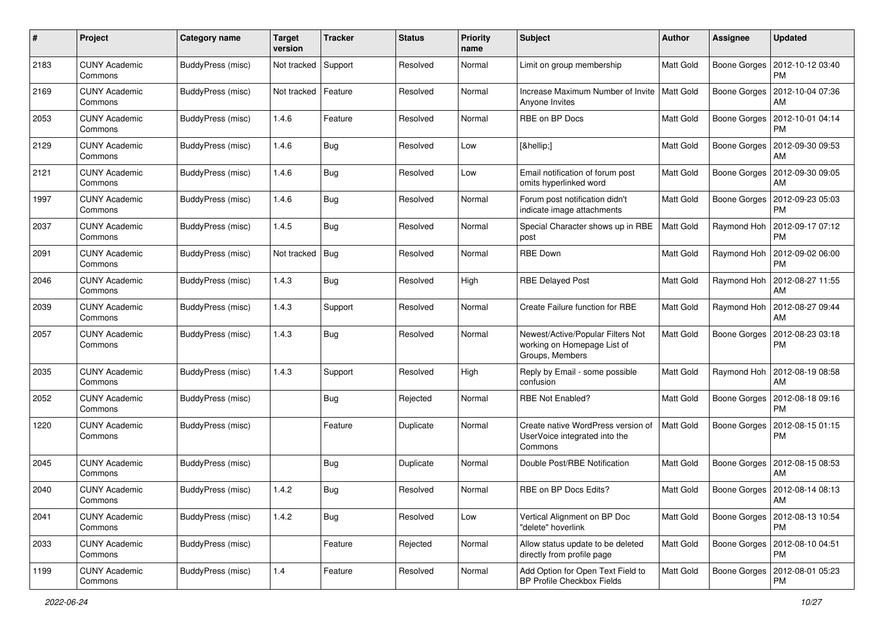| #    | Project                         | <b>Category name</b>     | <b>Target</b><br>version | <b>Tracker</b> | <b>Status</b> | <b>Priority</b><br>name | <b>Subject</b>                                                                      | Author           | <b>Assignee</b>     | <b>Updated</b>                               |
|------|---------------------------------|--------------------------|--------------------------|----------------|---------------|-------------------------|-------------------------------------------------------------------------------------|------------------|---------------------|----------------------------------------------|
| 2183 | <b>CUNY Academic</b><br>Commons | BuddyPress (misc)        | Not tracked              | Support        | Resolved      | Normal                  | Limit on group membership                                                           | Matt Gold        | Boone Gorges        | 2012-10-12 03:40<br><b>PM</b>                |
| 2169 | <b>CUNY Academic</b><br>Commons | BuddyPress (misc)        | Not tracked              | Feature        | Resolved      | Normal                  | Increase Maximum Number of Invite<br>Anyone Invites                                 | <b>Matt Gold</b> | Boone Gorges        | 2012-10-04 07:36<br>AM                       |
| 2053 | <b>CUNY Academic</b><br>Commons | BuddyPress (misc)        | 1.4.6                    | Feature        | Resolved      | Normal                  | RBE on BP Docs                                                                      | Matt Gold        | Boone Gorges        | 2012-10-01 04:14<br><b>PM</b>                |
| 2129 | <b>CUNY Academic</b><br>Commons | BuddyPress (misc)        | 1.4.6                    | Bug            | Resolved      | Low                     | […]                                                                                 | Matt Gold        | Boone Gorges        | 2012-09-30 09:53<br>AM                       |
| 2121 | <b>CUNY Academic</b><br>Commons | BuddyPress (misc)        | 1.4.6                    | <b>Bug</b>     | Resolved      | Low                     | Email notification of forum post<br>omits hyperlinked word                          | Matt Gold        | Boone Gorges        | 2012-09-30 09:05<br>AM                       |
| 1997 | <b>CUNY Academic</b><br>Commons | BuddyPress (misc)        | 1.4.6                    | <b>Bug</b>     | Resolved      | Normal                  | Forum post notification didn't<br>indicate image attachments                        | Matt Gold        | Boone Gorges        | 2012-09-23 05:03<br><b>PM</b>                |
| 2037 | <b>CUNY Academic</b><br>Commons | BuddyPress (misc)        | 1.4.5                    | Bug            | Resolved      | Normal                  | Special Character shows up in RBE<br>post                                           | Matt Gold        | Raymond Hoh         | 2012-09-17 07:12<br><b>PM</b>                |
| 2091 | <b>CUNY Academic</b><br>Commons | <b>BuddyPress</b> (misc) | Not tracked              | Bug            | Resolved      | Normal                  | <b>RBE Down</b>                                                                     | Matt Gold        | Raymond Hoh         | 2012-09-02 06:00<br><b>PM</b>                |
| 2046 | <b>CUNY Academic</b><br>Commons | BuddyPress (misc)        | 1.4.3                    | Bug            | Resolved      | High                    | <b>RBE Delayed Post</b>                                                             | <b>Matt Gold</b> | Raymond Hoh         | 2012-08-27 11:55<br>AM                       |
| 2039 | <b>CUNY Academic</b><br>Commons | BuddyPress (misc)        | 1.4.3                    | Support        | Resolved      | Normal                  | Create Failure function for RBE                                                     | Matt Gold        | Raymond Hoh         | 2012-08-27 09:44<br>AM                       |
| 2057 | <b>CUNY Academic</b><br>Commons | BuddyPress (misc)        | 1.4.3                    | <b>Bug</b>     | Resolved      | Normal                  | Newest/Active/Popular Filters Not<br>working on Homepage List of<br>Groups, Members | <b>Matt Gold</b> | <b>Boone Gorges</b> | 2012-08-23 03:18<br><b>PM</b>                |
| 2035 | <b>CUNY Academic</b><br>Commons | BuddyPress (misc)        | 1.4.3                    | Support        | Resolved      | High                    | Reply by Email - some possible<br>confusion                                         | <b>Matt Gold</b> | Raymond Hoh         | 2012-08-19 08:58<br>AM                       |
| 2052 | <b>CUNY Academic</b><br>Commons | <b>BuddyPress (misc)</b> |                          | <b>Bug</b>     | Rejected      | Normal                  | <b>RBE Not Enabled?</b>                                                             | Matt Gold        | Boone Gorges        | 2012-08-18 09:16<br><b>PM</b>                |
| 1220 | <b>CUNY Academic</b><br>Commons | BuddyPress (misc)        |                          | Feature        | Duplicate     | Normal                  | Create native WordPress version of<br>UserVoice integrated into the<br>Commons      | <b>Matt Gold</b> | Boone Gorges        | 2012-08-15 01:15<br><b>PM</b>                |
| 2045 | <b>CUNY Academic</b><br>Commons | BuddyPress (misc)        |                          | <b>Bug</b>     | Duplicate     | Normal                  | Double Post/RBE Notification                                                        | Matt Gold        | Boone Gorges        | 2012-08-15 08:53<br>AM                       |
| 2040 | <b>CUNY Academic</b><br>Commons | BuddyPress (misc)        | 1.4.2                    | <b>Bug</b>     | Resolved      | Normal                  | RBE on BP Docs Edits?                                                               | Matt Gold        | Boone Gorges        | 2012-08-14 08:13<br>AM                       |
| 2041 | <b>CUNY Academic</b><br>Commons | BuddyPress (misc)        | 1.4.2                    | Bug            | Resolved      | Low                     | Vertical Alignment on BP Doc<br>"delete" hoverlink                                  | Matt Gold        |                     | Boone Gorges   2012-08-13 10:54<br><b>PM</b> |
| 2033 | <b>CUNY Academic</b><br>Commons | BuddyPress (misc)        |                          | Feature        | Rejected      | Normal                  | Allow status update to be deleted<br>directly from profile page                     | Matt Gold        |                     | Boone Gorges   2012-08-10 04:51<br><b>PM</b> |
| 1199 | <b>CUNY Academic</b><br>Commons | BuddyPress (misc)        | 1.4                      | Feature        | Resolved      | Normal                  | Add Option for Open Text Field to<br>BP Profile Checkbox Fields                     | Matt Gold        |                     | Boone Gorges   2012-08-01 05:23<br><b>PM</b> |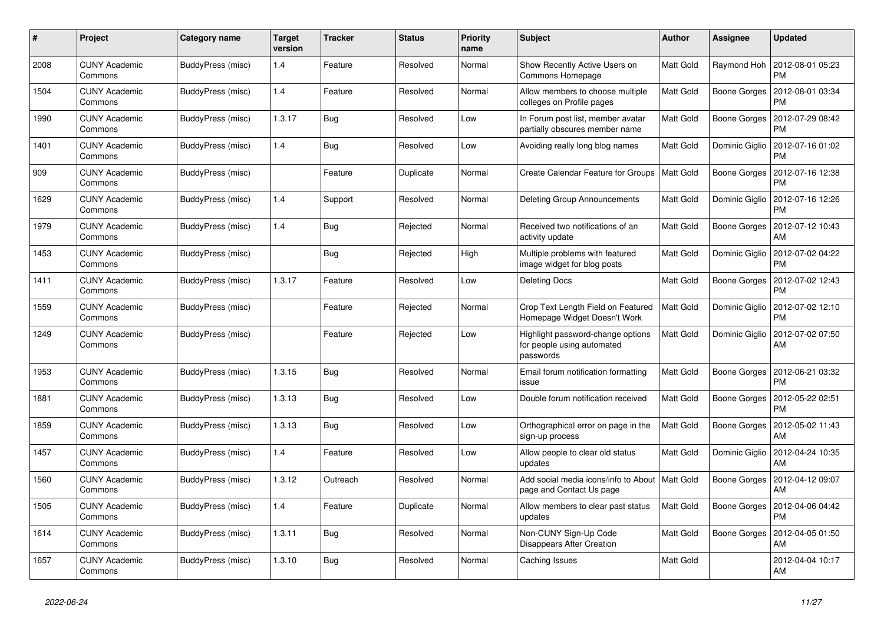| #    | Project                         | Category name     | <b>Target</b><br>version | <b>Tracker</b> | <b>Status</b> | Priority<br>name | <b>Subject</b>                                                               | <b>Author</b> | Assignee       | <b>Updated</b>                |
|------|---------------------------------|-------------------|--------------------------|----------------|---------------|------------------|------------------------------------------------------------------------------|---------------|----------------|-------------------------------|
| 2008 | <b>CUNY Academic</b><br>Commons | BuddyPress (misc) | 1.4                      | Feature        | Resolved      | Normal           | Show Recently Active Users on<br>Commons Homepage                            | Matt Gold     | Raymond Hoh    | 2012-08-01 05:23<br><b>PM</b> |
| 1504 | <b>CUNY Academic</b><br>Commons | BuddyPress (misc) | 1.4                      | Feature        | Resolved      | Normal           | Allow members to choose multiple<br>colleges on Profile pages                | Matt Gold     | Boone Gorges   | 2012-08-01 03:34<br><b>PM</b> |
| 1990 | <b>CUNY Academic</b><br>Commons | BuddyPress (misc) | 1.3.17                   | Bug            | Resolved      | Low              | In Forum post list, member avatar<br>partially obscures member name          | Matt Gold     | Boone Gorges   | 2012-07-29 08:42<br><b>PM</b> |
| 1401 | <b>CUNY Academic</b><br>Commons | BuddyPress (misc) | 1.4                      | Bug            | Resolved      | Low              | Avoiding really long blog names                                              | Matt Gold     | Dominic Giglio | 2012-07-16 01:02<br><b>PM</b> |
| 909  | <b>CUNY Academic</b><br>Commons | BuddyPress (misc) |                          | Feature        | Duplicate     | Normal           | Create Calendar Feature for Groups                                           | Matt Gold     | Boone Gorges   | 2012-07-16 12:38<br><b>PM</b> |
| 1629 | <b>CUNY Academic</b><br>Commons | BuddyPress (misc) | 1.4                      | Support        | Resolved      | Normal           | Deleting Group Announcements                                                 | Matt Gold     | Dominic Giglio | 2012-07-16 12:26<br><b>PM</b> |
| 1979 | <b>CUNY Academic</b><br>Commons | BuddyPress (misc) | 1.4                      | Bug            | Rejected      | Normal           | Received two notifications of an<br>activity update                          | Matt Gold     | Boone Gorges   | 2012-07-12 10:43<br>AM        |
| 1453 | <b>CUNY Academic</b><br>Commons | BuddyPress (misc) |                          | <b>Bug</b>     | Rejected      | High             | Multiple problems with featured<br>image widget for blog posts               | Matt Gold     | Dominic Giglio | 2012-07-02 04:22<br><b>PM</b> |
| 1411 | <b>CUNY Academic</b><br>Commons | BuddyPress (misc) | 1.3.17                   | Feature        | Resolved      | Low              | <b>Deleting Docs</b>                                                         | Matt Gold     | Boone Gorges   | 2012-07-02 12:43<br>PM        |
| 1559 | <b>CUNY Academic</b><br>Commons | BuddyPress (misc) |                          | Feature        | Rejected      | Normal           | Crop Text Length Field on Featured<br>Homepage Widget Doesn't Work           | Matt Gold     | Dominic Giglio | 2012-07-02 12:10<br><b>PM</b> |
| 1249 | <b>CUNY Academic</b><br>Commons | BuddyPress (misc) |                          | Feature        | Rejected      | Low              | Highlight password-change options<br>for people using automated<br>passwords | Matt Gold     | Dominic Giglio | 2012-07-02 07:50<br>AM        |
| 1953 | <b>CUNY Academic</b><br>Commons | BuddyPress (misc) | 1.3.15                   | Bug            | Resolved      | Normal           | Email forum notification formatting<br>issue                                 | Matt Gold     | Boone Gorges   | 2012-06-21 03:32<br><b>PM</b> |
| 1881 | <b>CUNY Academic</b><br>Commons | BuddyPress (misc) | 1.3.13                   | Bug            | Resolved      | Low              | Double forum notification received                                           | Matt Gold     | Boone Gorges   | 2012-05-22 02:51<br><b>PM</b> |
| 1859 | <b>CUNY Academic</b><br>Commons | BuddyPress (misc) | 1.3.13                   | Bug            | Resolved      | Low              | Orthographical error on page in the<br>sign-up process                       | Matt Gold     | Boone Gorges   | 2012-05-02 11:43<br>AM        |
| 1457 | <b>CUNY Academic</b><br>Commons | BuddyPress (misc) | 1.4                      | Feature        | Resolved      | Low              | Allow people to clear old status<br>updates                                  | Matt Gold     | Dominic Giglio | 2012-04-24 10:35<br>AM        |
| 1560 | <b>CUNY Academic</b><br>Commons | BuddyPress (misc) | 1.3.12                   | Outreach       | Resolved      | Normal           | Add social media icons/info to About<br>page and Contact Us page             | Matt Gold     | Boone Gorges   | 2012-04-12 09:07<br>AM        |
| 1505 | <b>CUNY Academic</b><br>Commons | BuddyPress (misc) | 1.4                      | Feature        | Duplicate     | Normal           | Allow members to clear past status<br>updates                                | Matt Gold     | Boone Gorges   | 2012-04-06 04:42<br><b>PM</b> |
| 1614 | <b>CUNY Academic</b><br>Commons | BuddyPress (misc) | 1.3.11                   | <b>Bug</b>     | Resolved      | Normal           | Non-CUNY Sign-Up Code<br><b>Disappears After Creation</b>                    | Matt Gold     | Boone Gorges   | 2012-04-05 01:50<br>AM        |
| 1657 | <b>CUNY Academic</b><br>Commons | BuddyPress (misc) | 1.3.10                   | Bug            | Resolved      | Normal           | Caching Issues                                                               | Matt Gold     |                | 2012-04-04 10:17<br>AM        |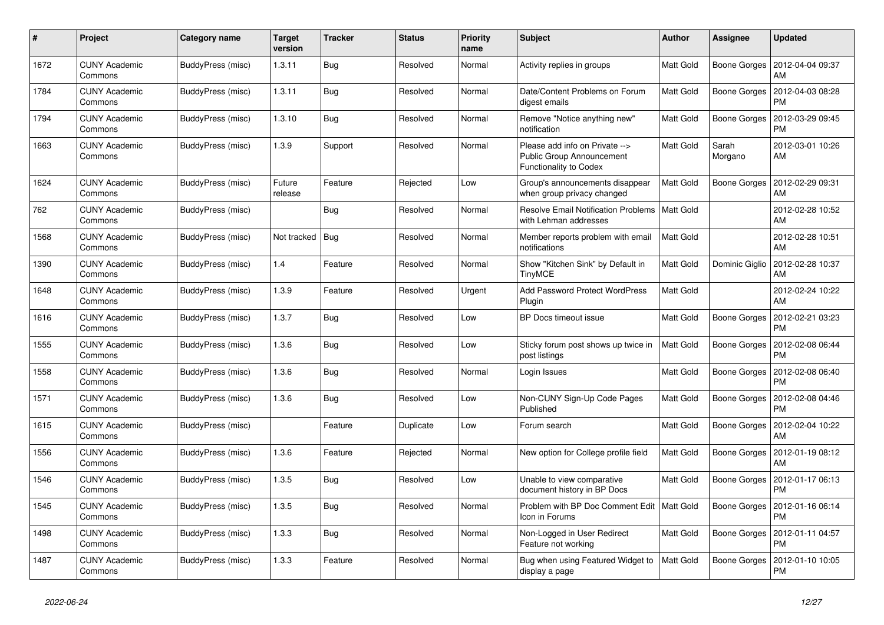| $\#$ | Project                         | Category name     | Target<br>version | <b>Tracker</b> | <b>Status</b> | <b>Priority</b><br>name | <b>Subject</b>                                                                        | <b>Author</b> | Assignee         | <b>Updated</b>                |
|------|---------------------------------|-------------------|-------------------|----------------|---------------|-------------------------|---------------------------------------------------------------------------------------|---------------|------------------|-------------------------------|
| 1672 | <b>CUNY Academic</b><br>Commons | BuddyPress (misc) | 1.3.11            | Bug            | Resolved      | Normal                  | Activity replies in groups                                                            | Matt Gold     | Boone Gorges     | 2012-04-04 09:37<br>AM        |
| 1784 | <b>CUNY Academic</b><br>Commons | BuddyPress (misc) | 1.3.11            | <b>Bug</b>     | Resolved      | Normal                  | Date/Content Problems on Forum<br>digest emails                                       | Matt Gold     | Boone Gorges     | 2012-04-03 08:28<br><b>PM</b> |
| 1794 | <b>CUNY Academic</b><br>Commons | BuddyPress (misc) | 1.3.10            | Bug            | Resolved      | Normal                  | Remove "Notice anything new"<br>notification                                          | Matt Gold     | Boone Gorges     | 2012-03-29 09:45<br><b>PM</b> |
| 1663 | <b>CUNY Academic</b><br>Commons | BuddyPress (misc) | 1.3.9             | Support        | Resolved      | Normal                  | Please add info on Private --><br>Public Group Announcement<br>Functionality to Codex | Matt Gold     | Sarah<br>Morgano | 2012-03-01 10:26<br>AM        |
| 1624 | <b>CUNY Academic</b><br>Commons | BuddyPress (misc) | Future<br>release | Feature        | Rejected      | Low                     | Group's announcements disappear<br>when group privacy changed                         | Matt Gold     | Boone Gorges     | 2012-02-29 09:31<br>AM        |
| 762  | <b>CUNY Academic</b><br>Commons | BuddyPress (misc) |                   | Bug            | Resolved      | Normal                  | Resolve Email Notification Problems   Matt Gold<br>with Lehman addresses              |               |                  | 2012-02-28 10:52<br>AM        |
| 1568 | <b>CUNY Academic</b><br>Commons | BuddyPress (misc) | Not tracked       | Bug            | Resolved      | Normal                  | Member reports problem with email<br>notifications                                    | Matt Gold     |                  | 2012-02-28 10:51<br>AM        |
| 1390 | <b>CUNY Academic</b><br>Commons | BuddyPress (misc) | 1.4               | Feature        | Resolved      | Normal                  | Show "Kitchen Sink" by Default in<br><b>TinyMCE</b>                                   | Matt Gold     | Dominic Giglio   | 2012-02-28 10:37<br>AM        |
| 1648 | <b>CUNY Academic</b><br>Commons | BuddyPress (misc) | 1.3.9             | Feature        | Resolved      | Urgent                  | Add Password Protect WordPress<br>Plugin                                              | Matt Gold     |                  | 2012-02-24 10:22<br>AM        |
| 1616 | <b>CUNY Academic</b><br>Commons | BuddyPress (misc) | 1.3.7             | <b>Bug</b>     | Resolved      | Low                     | BP Docs timeout issue                                                                 | Matt Gold     | Boone Gorges     | 2012-02-21 03:23<br><b>PM</b> |
| 1555 | <b>CUNY Academic</b><br>Commons | BuddyPress (misc) | 1.3.6             | <b>Bug</b>     | Resolved      | Low                     | Sticky forum post shows up twice in<br>post listings                                  | Matt Gold     | Boone Gorges     | 2012-02-08 06:44<br><b>PM</b> |
| 1558 | <b>CUNY Academic</b><br>Commons | BuddyPress (misc) | 1.3.6             | Bug            | Resolved      | Normal                  | Login Issues                                                                          | Matt Gold     | Boone Gorges     | 2012-02-08 06:40<br><b>PM</b> |
| 1571 | <b>CUNY Academic</b><br>Commons | BuddyPress (misc) | 1.3.6             | <b>Bug</b>     | Resolved      | Low                     | Non-CUNY Sign-Up Code Pages<br>Published                                              | Matt Gold     | Boone Gorges     | 2012-02-08 04:46<br><b>PM</b> |
| 1615 | <b>CUNY Academic</b><br>Commons | BuddyPress (misc) |                   | Feature        | Duplicate     | Low                     | Forum search                                                                          | Matt Gold     | Boone Gorges     | 2012-02-04 10:22<br>AM        |
| 1556 | <b>CUNY Academic</b><br>Commons | BuddyPress (misc) | 1.3.6             | Feature        | Rejected      | Normal                  | New option for College profile field                                                  | Matt Gold     | Boone Gorges     | 2012-01-19 08:12<br>AM        |
| 1546 | <b>CUNY Academic</b><br>Commons | BuddyPress (misc) | 1.3.5             | <b>Bug</b>     | Resolved      | Low                     | Unable to view comparative<br>document history in BP Docs                             | Matt Gold     | Boone Gorges     | 2012-01-17 06:13<br><b>PM</b> |
| 1545 | <b>CUNY Academic</b><br>Commons | BuddyPress (misc) | 1.3.5             | Bug            | Resolved      | Normal                  | Problem with BP Doc Comment Edit   Matt Gold<br>Icon in Forums                        |               | Boone Gorges     | 2012-01-16 06:14<br><b>PM</b> |
| 1498 | <b>CUNY Academic</b><br>Commons | BuddyPress (misc) | 1.3.3             | Bug            | Resolved      | Normal                  | Non-Logged in User Redirect<br>Feature not working                                    | Matt Gold     | Boone Gorges     | 2012-01-11 04:57<br>PM        |
| 1487 | <b>CUNY Academic</b><br>Commons | BuddyPress (misc) | 1.3.3             | Feature        | Resolved      | Normal                  | Bug when using Featured Widget to<br>display a page                                   | Matt Gold     | Boone Gorges     | 2012-01-10 10:05<br>PM        |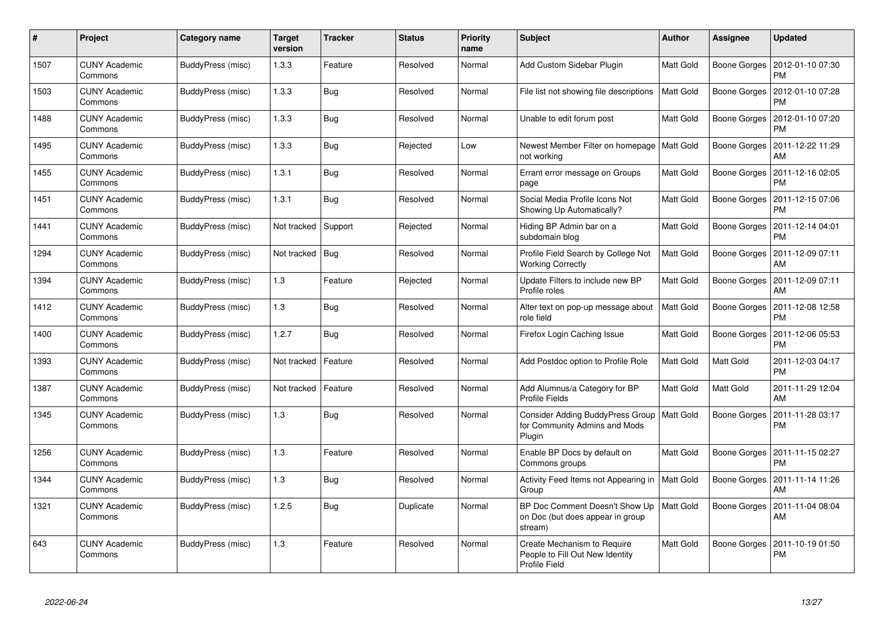| #    | Project                         | Category name            | <b>Target</b><br>version | <b>Tracker</b> | <b>Status</b> | <b>Priority</b><br>name | <b>Subject</b>                                                                         | <b>Author</b>    | Assignee     | <b>Updated</b>                |
|------|---------------------------------|--------------------------|--------------------------|----------------|---------------|-------------------------|----------------------------------------------------------------------------------------|------------------|--------------|-------------------------------|
| 1507 | <b>CUNY Academic</b><br>Commons | BuddyPress (misc)        | 1.3.3                    | Feature        | Resolved      | Normal                  | Add Custom Sidebar Plugin                                                              | Matt Gold        | Boone Gorges | 2012-01-10 07:30<br><b>PM</b> |
| 1503 | <b>CUNY Academic</b><br>Commons | BuddyPress (misc)        | 1.3.3                    | Bug            | Resolved      | Normal                  | File list not showing file descriptions                                                | Matt Gold        | Boone Gorges | 2012-01-10 07:28<br><b>PM</b> |
| 1488 | <b>CUNY Academic</b><br>Commons | BuddyPress (misc)        | 1.3.3                    | <b>Bug</b>     | Resolved      | Normal                  | Unable to edit forum post                                                              | Matt Gold        | Boone Gorges | 2012-01-10 07:20<br><b>PM</b> |
| 1495 | <b>CUNY Academic</b><br>Commons | BuddyPress (misc)        | 1.3.3                    | Bug            | Rejected      | Low                     | Newest Member Filter on homepage<br>not working                                        | Matt Gold        | Boone Gorges | 2011-12-22 11:29<br>AM        |
| 1455 | <b>CUNY Academic</b><br>Commons | BuddyPress (misc)        | 1.3.1                    | Bug            | Resolved      | Normal                  | Errant error message on Groups<br>page                                                 | Matt Gold        | Boone Gorges | 2011-12-16 02:05<br><b>PM</b> |
| 1451 | <b>CUNY Academic</b><br>Commons | BuddyPress (misc)        | 1.3.1                    | Bug            | Resolved      | Normal                  | Social Media Profile Icons Not<br>Showing Up Automatically?                            | Matt Gold        | Boone Gorges | 2011-12-15 07:06<br><b>PM</b> |
| 1441 | <b>CUNY Academic</b><br>Commons | BuddyPress (misc)        | Not tracked              | Support        | Rejected      | Normal                  | Hiding BP Admin bar on a<br>subdomain blog                                             | Matt Gold        | Boone Gorges | 2011-12-14 04:01<br><b>PM</b> |
| 1294 | <b>CUNY Academic</b><br>Commons | BuddyPress (misc)        | Not tracked              | Bug            | Resolved      | Normal                  | Profile Field Search by College Not<br><b>Working Correctly</b>                        | Matt Gold        | Boone Gorges | 2011-12-09 07:11<br>AM        |
| 1394 | <b>CUNY Academic</b><br>Commons | BuddyPress (misc)        | 1.3                      | Feature        | Rejected      | Normal                  | Update Filters to include new BP<br>Profile roles                                      | Matt Gold        | Boone Gorges | 2011-12-09 07:11<br>AM        |
| 1412 | <b>CUNY Academic</b><br>Commons | BuddyPress (misc)        | 1.3                      | <b>Bug</b>     | Resolved      | Normal                  | Alter text on pop-up message about<br>role field                                       | Matt Gold        | Boone Gorges | 2011-12-08 12:58<br><b>PM</b> |
| 1400 | <b>CUNY Academic</b><br>Commons | BuddyPress (misc)        | 1.2.7                    | Bug            | Resolved      | Normal                  | Firefox Login Caching Issue                                                            | Matt Gold        | Boone Gorges | 2011-12-06 05:53<br><b>PM</b> |
| 1393 | <b>CUNY Academic</b><br>Commons | BuddyPress (misc)        | Not tracked              | Feature        | Resolved      | Normal                  | Add Postdoc option to Profile Role                                                     | Matt Gold        | Matt Gold    | 2011-12-03 04:17<br><b>PM</b> |
| 1387 | <b>CUNY Academic</b><br>Commons | BuddyPress (misc)        | Not tracked              | Feature        | Resolved      | Normal                  | Add Alumnus/a Category for BP<br><b>Profile Fields</b>                                 | Matt Gold        | Matt Gold    | 2011-11-29 12:04<br>AM        |
| 1345 | <b>CUNY Academic</b><br>Commons | BuddyPress (misc)        | 1.3                      | Bug            | Resolved      | Normal                  | Consider Adding BuddyPress Group<br>for Community Admins and Mods<br>Plugin            | Matt Gold        | Boone Gorges | 2011-11-28 03:17<br><b>PM</b> |
| 1256 | <b>CUNY Academic</b><br>Commons | BuddyPress (misc)        | 1.3                      | Feature        | Resolved      | Normal                  | Enable BP Docs by default on<br>Commons groups                                         | Matt Gold        | Boone Gorges | 2011-11-15 02:27<br><b>PM</b> |
| 1344 | <b>CUNY Academic</b><br>Commons | BuddyPress (misc)        | 1.3                      | <b>Bug</b>     | Resolved      | Normal                  | Activity Feed Items not Appearing in<br>Group                                          | Matt Gold        | Boone Gorges | 2011-11-14 11:26<br>AM        |
| 1321 | <b>CUNY Academic</b><br>Commons | <b>BuddyPress (misc)</b> | 1.2.5                    | Bug            | Duplicate     | Normal                  | BP Doc Comment Doesn't Show Up<br>on Doc (but does appear in group<br>stream)          | <b>Matt Gold</b> | Boone Gorges | 2011-11-04 08:04<br>AM        |
| 643  | <b>CUNY Academic</b><br>Commons | BuddyPress (misc)        | 1.3                      | Feature        | Resolved      | Normal                  | Create Mechanism to Require<br>People to Fill Out New Identity<br><b>Profile Field</b> | Matt Gold        | Boone Gorges | 2011-10-19 01:50<br><b>PM</b> |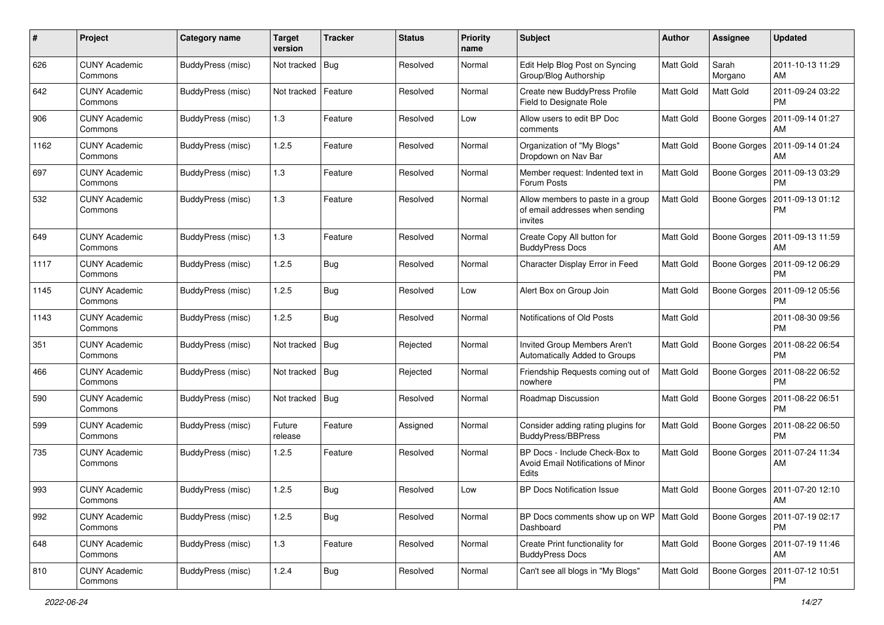| #    | Project                         | <b>Category name</b>     | <b>Target</b><br>version | <b>Tracker</b> | <b>Status</b> | <b>Priority</b><br>name | <b>Subject</b>                                                                  | Author           | <b>Assignee</b>     | <b>Updated</b>                        |
|------|---------------------------------|--------------------------|--------------------------|----------------|---------------|-------------------------|---------------------------------------------------------------------------------|------------------|---------------------|---------------------------------------|
| 626  | <b>CUNY Academic</b><br>Commons | BuddyPress (misc)        | Not tracked              | Bug            | Resolved      | Normal                  | Edit Help Blog Post on Syncing<br>Group/Blog Authorship                         | <b>Matt Gold</b> | Sarah<br>Morgano    | 2011-10-13 11:29<br>AM                |
| 642  | <b>CUNY Academic</b><br>Commons | BuddyPress (misc)        | Not tracked              | Feature        | Resolved      | Normal                  | Create new BuddyPress Profile<br>Field to Designate Role                        | <b>Matt Gold</b> | Matt Gold           | 2011-09-24 03:22<br><b>PM</b>         |
| 906  | <b>CUNY Academic</b><br>Commons | BuddyPress (misc)        | 1.3                      | Feature        | Resolved      | Low                     | Allow users to edit BP Doc<br>comments                                          | Matt Gold        | Boone Gorges        | 2011-09-14 01:27<br>AM                |
| 1162 | <b>CUNY Academic</b><br>Commons | BuddyPress (misc)        | 1.2.5                    | Feature        | Resolved      | Normal                  | Organization of "My Blogs"<br>Dropdown on Nav Bar                               | Matt Gold        | Boone Gorges        | 2011-09-14 01:24<br>AM                |
| 697  | <b>CUNY Academic</b><br>Commons | BuddyPress (misc)        | 1.3                      | Feature        | Resolved      | Normal                  | Member request: Indented text in<br>Forum Posts                                 | <b>Matt Gold</b> | Boone Gorges        | 2011-09-13 03:29<br><b>PM</b>         |
| 532  | <b>CUNY Academic</b><br>Commons | BuddyPress (misc)        | 1.3                      | Feature        | Resolved      | Normal                  | Allow members to paste in a group<br>of email addresses when sending<br>invites | Matt Gold        | Boone Gorges        | 2011-09-13 01:12<br><b>PM</b>         |
| 649  | <b>CUNY Academic</b><br>Commons | BuddyPress (misc)        | 1.3                      | Feature        | Resolved      | Normal                  | Create Copy All button for<br><b>BuddyPress Docs</b>                            | Matt Gold        | Boone Gorges        | 2011-09-13 11:59<br>AM                |
| 1117 | <b>CUNY Academic</b><br>Commons | BuddyPress (misc)        | 1.2.5                    | Bug            | Resolved      | Normal                  | Character Display Error in Feed                                                 | <b>Matt Gold</b> | Boone Gorges        | 2011-09-12 06:29<br><b>PM</b>         |
| 1145 | <b>CUNY Academic</b><br>Commons | BuddyPress (misc)        | 1.2.5                    | <b>Bug</b>     | Resolved      | Low                     | Alert Box on Group Join                                                         | Matt Gold        | Boone Gorges        | 2011-09-12 05:56<br><b>PM</b>         |
| 1143 | <b>CUNY Academic</b><br>Commons | BuddyPress (misc)        | 1.2.5                    | Bug            | Resolved      | Normal                  | Notifications of Old Posts                                                      | Matt Gold        |                     | 2011-08-30 09:56<br><b>PM</b>         |
| 351  | <b>CUNY Academic</b><br>Commons | BuddyPress (misc)        | Not tracked              | Bug            | Rejected      | Normal                  | Invited Group Members Aren't<br>Automatically Added to Groups                   | Matt Gold        | Boone Gorges        | 2011-08-22 06:54<br><b>PM</b>         |
| 466  | <b>CUNY Academic</b><br>Commons | BuddyPress (misc)        | Not tracked              | Bug            | Rejected      | Normal                  | Friendship Requests coming out of<br>nowhere                                    | Matt Gold        | Boone Gorges        | 2011-08-22 06:52<br><b>PM</b>         |
| 590  | <b>CUNY Academic</b><br>Commons | <b>BuddyPress (misc)</b> | Not tracked              | <b>Bug</b>     | Resolved      | Normal                  | Roadmap Discussion                                                              | <b>Matt Gold</b> | <b>Boone Gorges</b> | 2011-08-22 06:51<br><b>PM</b>         |
| 599  | <b>CUNY Academic</b><br>Commons | <b>BuddyPress (misc)</b> | Future<br>release        | Feature        | Assigned      | Normal                  | Consider adding rating plugins for<br><b>BuddyPress/BBPress</b>                 | Matt Gold        | Boone Gorges        | 2011-08-22 06:50<br><b>PM</b>         |
| 735  | <b>CUNY Academic</b><br>Commons | BuddyPress (misc)        | 1.2.5                    | Feature        | Resolved      | Normal                  | BP Docs - Include Check-Box to<br>Avoid Email Notifications of Minor<br>Edits   | Matt Gold        | Boone Gorges        | 2011-07-24 11:34<br>AM                |
| 993  | CUNY Academic<br>Commons        | BuddyPress (misc)        | 1.2.5                    | <b>Bug</b>     | Resolved      | Low                     | <b>BP Docs Notification Issue</b>                                               | <b>Matt Gold</b> |                     | Boone Gorges   2011-07-20 12:10<br>AM |
| 992  | <b>CUNY Academic</b><br>Commons | BuddyPress (misc)        | 1.2.5                    | <b>Bug</b>     | Resolved      | Normal                  | BP Docs comments show up on WP<br>Dashboard                                     | Matt Gold        | Boone Gorges        | 2011-07-19 02:17<br><b>PM</b>         |
| 648  | <b>CUNY Academic</b><br>Commons | BuddyPress (misc)        | 1.3                      | Feature        | Resolved      | Normal                  | Create Print functionality for<br><b>BuddyPress Docs</b>                        | Matt Gold        |                     | Boone Gorges   2011-07-19 11:46<br>AM |
| 810  | <b>CUNY Academic</b><br>Commons | BuddyPress (misc)        | 1.2.4                    | <b>Bug</b>     | Resolved      | Normal                  | Can't see all blogs in "My Blogs"                                               | Matt Gold        | Boone Gorges        | 2011-07-12 10:51<br>PM                |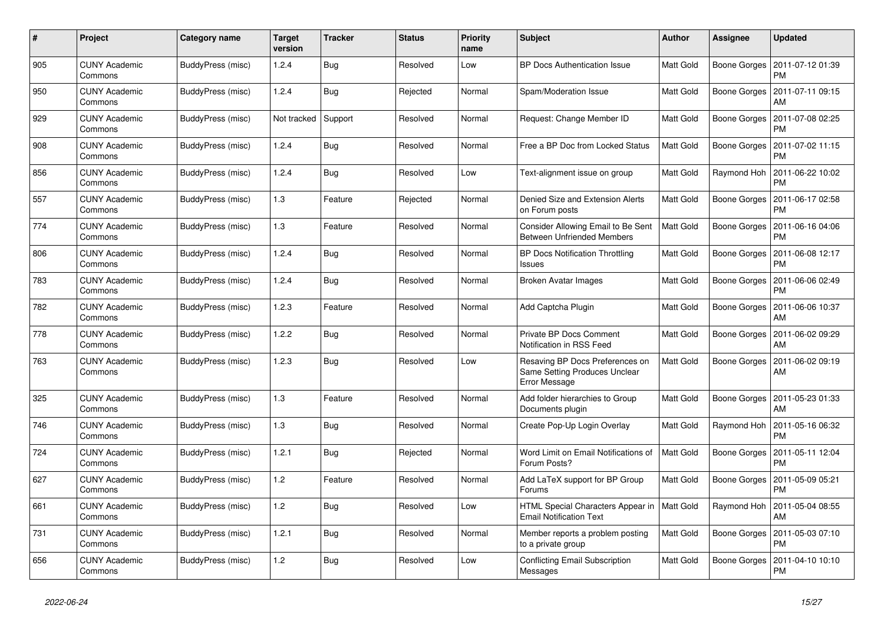| #   | Project                         | Category name            | <b>Target</b><br>version | <b>Tracker</b> | <b>Status</b> | <b>Priority</b><br>name | <b>Subject</b>                                                                    | <b>Author</b>    | Assignee     | <b>Updated</b>                |
|-----|---------------------------------|--------------------------|--------------------------|----------------|---------------|-------------------------|-----------------------------------------------------------------------------------|------------------|--------------|-------------------------------|
| 905 | <b>CUNY Academic</b><br>Commons | BuddyPress (misc)        | 1.2.4                    | <b>Bug</b>     | Resolved      | Low                     | <b>BP Docs Authentication Issue</b>                                               | Matt Gold        | Boone Gorges | 2011-07-12 01:39<br><b>PM</b> |
| 950 | <b>CUNY Academic</b><br>Commons | BuddyPress (misc)        | 1.2.4                    | <b>Bug</b>     | Rejected      | Normal                  | Spam/Moderation Issue                                                             | Matt Gold        | Boone Gorges | 2011-07-11 09:15<br>AM        |
| 929 | <b>CUNY Academic</b><br>Commons | BuddyPress (misc)        | Not tracked              | Support        | Resolved      | Normal                  | Request: Change Member ID                                                         | Matt Gold        | Boone Gorges | 2011-07-08 02:25<br><b>PM</b> |
| 908 | <b>CUNY Academic</b><br>Commons | BuddyPress (misc)        | 1.2.4                    | Bug            | Resolved      | Normal                  | Free a BP Doc from Locked Status                                                  | Matt Gold        | Boone Gorges | 2011-07-02 11:15<br><b>PM</b> |
| 856 | <b>CUNY Academic</b><br>Commons | BuddyPress (misc)        | 1.2.4                    | Bug            | Resolved      | Low                     | Text-alignment issue on group                                                     | Matt Gold        | Raymond Hoh  | 2011-06-22 10:02<br><b>PM</b> |
| 557 | <b>CUNY Academic</b><br>Commons | <b>BuddyPress (misc)</b> | 1.3                      | Feature        | Rejected      | Normal                  | Denied Size and Extension Alerts<br>on Forum posts                                | Matt Gold        | Boone Gorges | 2011-06-17 02:58<br><b>PM</b> |
| 774 | <b>CUNY Academic</b><br>Commons | BuddyPress (misc)        | 1.3                      | Feature        | Resolved      | Normal                  | Consider Allowing Email to Be Sent<br><b>Between Unfriended Members</b>           | Matt Gold        | Boone Gorges | 2011-06-16 04:06<br><b>PM</b> |
| 806 | <b>CUNY Academic</b><br>Commons | BuddyPress (misc)        | 1.2.4                    | <b>Bug</b>     | Resolved      | Normal                  | <b>BP Docs Notification Throttling</b><br>Issues                                  | Matt Gold        | Boone Gorges | 2011-06-08 12:17<br><b>PM</b> |
| 783 | <b>CUNY Academic</b><br>Commons | BuddyPress (misc)        | 1.2.4                    | <b>Bug</b>     | Resolved      | Normal                  | Broken Avatar Images                                                              | <b>Matt Gold</b> | Boone Gorges | 2011-06-06 02:49<br><b>PM</b> |
| 782 | <b>CUNY Academic</b><br>Commons | BuddyPress (misc)        | 1.2.3                    | Feature        | Resolved      | Normal                  | Add Captcha Plugin                                                                | Matt Gold        | Boone Gorges | 2011-06-06 10:37<br>AM        |
| 778 | <b>CUNY Academic</b><br>Commons | BuddyPress (misc)        | 1.2.2                    | Bug            | Resolved      | Normal                  | Private BP Docs Comment<br>Notification in RSS Feed                               | Matt Gold        | Boone Gorges | 2011-06-02 09:29<br>AM        |
| 763 | <b>CUNY Academic</b><br>Commons | <b>BuddyPress (misc)</b> | 1.2.3                    | Bug            | Resolved      | Low                     | Resaving BP Docs Preferences on<br>Same Setting Produces Unclear<br>Error Message | Matt Gold        | Boone Gorges | 2011-06-02 09:19<br>AM        |
| 325 | <b>CUNY Academic</b><br>Commons | BuddyPress (misc)        | 1.3                      | Feature        | Resolved      | Normal                  | Add folder hierarchies to Group<br>Documents plugin                               | Matt Gold        | Boone Gorges | 2011-05-23 01:33<br>AM        |
| 746 | <b>CUNY Academic</b><br>Commons | BuddyPress (misc)        | 1.3                      | <b>Bug</b>     | Resolved      | Normal                  | Create Pop-Up Login Overlay                                                       | Matt Gold        | Raymond Hoh  | 2011-05-16 06:32<br><b>PM</b> |
| 724 | <b>CUNY Academic</b><br>Commons | BuddyPress (misc)        | 1.2.1                    | <b>Bug</b>     | Rejected      | Normal                  | Word Limit on Email Notifications of<br>Forum Posts?                              | Matt Gold        | Boone Gorges | 2011-05-11 12:04<br><b>PM</b> |
| 627 | <b>CUNY Academic</b><br>Commons | BuddyPress (misc)        | 1.2                      | Feature        | Resolved      | Normal                  | Add LaTeX support for BP Group<br>Forums                                          | Matt Gold        | Boone Gorges | 2011-05-09 05:21<br><b>PM</b> |
| 661 | <b>CUNY Academic</b><br>Commons | BuddyPress (misc)        | 1.2                      | <b>Bug</b>     | Resolved      | Low                     | HTML Special Characters Appear in<br><b>Email Notification Text</b>               | <b>Matt Gold</b> | Raymond Hoh  | 2011-05-04 08:55<br>AM        |
| 731 | <b>CUNY Academic</b><br>Commons | BuddyPress (misc)        | 1.2.1                    | <b>Bug</b>     | Resolved      | Normal                  | Member reports a problem posting<br>to a private group                            | Matt Gold        | Boone Gorges | 2011-05-03 07:10<br><b>PM</b> |
| 656 | <b>CUNY Academic</b><br>Commons | BuddyPress (misc)        | 1.2                      | Bug            | Resolved      | Low                     | Conflicting Email Subscription<br>Messages                                        | Matt Gold        | Boone Gorges | 2011-04-10 10:10<br><b>PM</b> |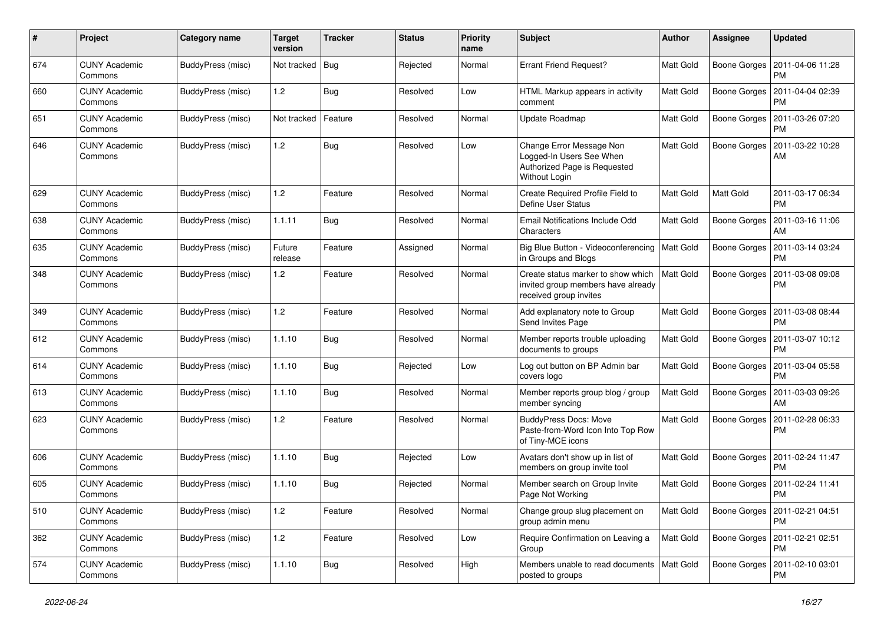| #   | Project                         | <b>Category name</b>     | <b>Target</b><br>version | <b>Tracker</b> | <b>Status</b> | <b>Priority</b><br>name | <b>Subject</b>                                                                                        | <b>Author</b> | Assignee            | <b>Updated</b>                               |
|-----|---------------------------------|--------------------------|--------------------------|----------------|---------------|-------------------------|-------------------------------------------------------------------------------------------------------|---------------|---------------------|----------------------------------------------|
| 674 | <b>CUNY Academic</b><br>Commons | BuddyPress (misc)        | Not tracked              | <b>Bug</b>     | Rejected      | Normal                  | <b>Errant Friend Request?</b>                                                                         | Matt Gold     | Boone Gorges        | 2011-04-06 11:28<br><b>PM</b>                |
| 660 | <b>CUNY Academic</b><br>Commons | BuddyPress (misc)        | 1.2                      | Bug            | Resolved      | Low                     | HTML Markup appears in activity<br>comment                                                            | Matt Gold     | Boone Gorges        | 2011-04-04 02:39<br><b>PM</b>                |
| 651 | CUNY Academic<br>Commons        | BuddyPress (misc)        | Not tracked              | Feature        | Resolved      | Normal                  | Update Roadmap                                                                                        | Matt Gold     | Boone Gorges        | 2011-03-26 07:20<br>PM                       |
| 646 | <b>CUNY Academic</b><br>Commons | BuddyPress (misc)        | 1.2                      | Bug            | Resolved      | Low                     | Change Error Message Non<br>Logged-In Users See When<br>Authorized Page is Requested<br>Without Login | Matt Gold     | Boone Gorges        | 2011-03-22 10:28<br>AM                       |
| 629 | <b>CUNY Academic</b><br>Commons | BuddyPress (misc)        | 1.2                      | Feature        | Resolved      | Normal                  | Create Required Profile Field to<br>Define User Status                                                | Matt Gold     | Matt Gold           | 2011-03-17 06:34<br><b>PM</b>                |
| 638 | <b>CUNY Academic</b><br>Commons | BuddyPress (misc)        | 1.1.11                   | Bug            | Resolved      | Normal                  | Email Notifications Include Odd<br>Characters                                                         | Matt Gold     | Boone Gorges        | 2011-03-16 11:06<br>AM                       |
| 635 | <b>CUNY Academic</b><br>Commons | BuddyPress (misc)        | Future<br>release        | Feature        | Assigned      | Normal                  | Big Blue Button - Videoconferencing   Matt Gold<br>in Groups and Blogs                                |               | Boone Gorges        | 2011-03-14 03:24<br><b>PM</b>                |
| 348 | <b>CUNY Academic</b><br>Commons | BuddyPress (misc)        | 1.2                      | Feature        | Resolved      | Normal                  | Create status marker to show which<br>invited group members have already<br>received group invites    | Matt Gold     | Boone Gorges        | 2011-03-08 09:08<br><b>PM</b>                |
| 349 | <b>CUNY Academic</b><br>Commons | BuddyPress (misc)        | 1.2                      | Feature        | Resolved      | Normal                  | Add explanatory note to Group<br>Send Invites Page                                                    | Matt Gold     | Boone Gorges        | 2011-03-08 08:44<br><b>PM</b>                |
| 612 | <b>CUNY Academic</b><br>Commons | BuddyPress (misc)        | 1.1.10                   | Bug            | Resolved      | Normal                  | Member reports trouble uploading<br>documents to groups                                               | Matt Gold     | Boone Gorges        | 2011-03-07 10:12<br><b>PM</b>                |
| 614 | <b>CUNY Academic</b><br>Commons | BuddyPress (misc)        | 1.1.10                   | <b>Bug</b>     | Rejected      | Low                     | Log out button on BP Admin bar<br>covers logo                                                         | Matt Gold     | Boone Gorges        | 2011-03-04 05:58<br><b>PM</b>                |
| 613 | <b>CUNY Academic</b><br>Commons | BuddyPress (misc)        | 1.1.10                   | <b>Bug</b>     | Resolved      | Normal                  | Member reports group blog / group<br>member syncing                                                   | Matt Gold     | Boone Gorges        | 2011-03-03 09:26<br>AM                       |
| 623 | <b>CUNY Academic</b><br>Commons | BuddyPress (misc)        | 1.2                      | Feature        | Resolved      | Normal                  | <b>BuddyPress Docs: Move</b><br>Paste-from-Word Icon Into Top Row<br>of Tiny-MCE icons                | Matt Gold     | Boone Gorges        | 2011-02-28 06:33<br>PM                       |
| 606 | <b>CUNY Academic</b><br>Commons | BuddyPress (misc)        | 1.1.10                   | Bug            | Rejected      | Low                     | Avatars don't show up in list of<br>members on group invite tool                                      | Matt Gold     | Boone Gorges        | 2011-02-24 11:47<br>PM                       |
| 605 | <b>CUNY Academic</b><br>Commons | BuddyPress (misc)        | 1.1.10                   | Bug            | Rejected      | Normal                  | Member search on Group Invite<br>Page Not Working                                                     | Matt Gold     | Boone Gorges        | 2011-02-24 11:41<br>PM                       |
| 510 | <b>CUNY Academic</b><br>Commons | <b>BuddyPress (misc)</b> | 1.2                      | Feature        | Resolved      | Normal                  | Change group slug placement on<br>group admin menu                                                    | Matt Gold     |                     | Boone Gorges   2011-02-21 04:51<br><b>PM</b> |
| 362 | <b>CUNY Academic</b><br>Commons | <b>BuddyPress (misc)</b> | 1.2                      | Feature        | Resolved      | Low                     | Require Confirmation on Leaving a<br>Group                                                            | Matt Gold     | Boone Gorges        | 2011-02-21 02:51<br><b>PM</b>                |
| 574 | <b>CUNY Academic</b><br>Commons | BuddyPress (misc)        | 1.1.10                   | <b>Bug</b>     | Resolved      | High                    | Members unable to read documents   Matt Gold<br>posted to groups                                      |               | <b>Boone Gorges</b> | 2011-02-10 03:01<br>PM                       |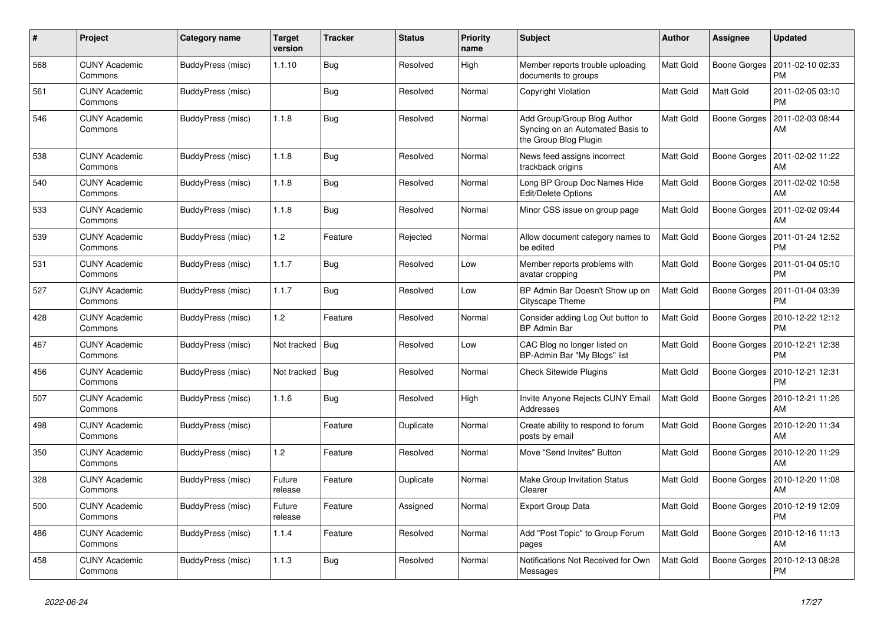| #   | Project                         | Category name            | <b>Target</b><br>version | <b>Tracker</b> | <b>Status</b> | <b>Priority</b><br>name | <b>Subject</b>                                                                           | <b>Author</b>    | Assignee            | <b>Updated</b>                |
|-----|---------------------------------|--------------------------|--------------------------|----------------|---------------|-------------------------|------------------------------------------------------------------------------------------|------------------|---------------------|-------------------------------|
| 568 | <b>CUNY Academic</b><br>Commons | BuddyPress (misc)        | 1.1.10                   | <b>Bug</b>     | Resolved      | High                    | Member reports trouble uploading<br>documents to groups                                  | Matt Gold        | Boone Gorges        | 2011-02-10 02:33<br><b>PM</b> |
| 561 | <b>CUNY Academic</b><br>Commons | BuddyPress (misc)        |                          | <b>Bug</b>     | Resolved      | Normal                  | <b>Copyright Violation</b>                                                               | Matt Gold        | Matt Gold           | 2011-02-05 03:10<br><b>PM</b> |
| 546 | CUNY Academic<br>Commons        | BuddyPress (misc)        | 1.1.8                    | Bug            | Resolved      | Normal                  | Add Group/Group Blog Author<br>Syncing on an Automated Basis to<br>the Group Blog Plugin | Matt Gold        | Boone Gorges        | 2011-02-03 08:44<br>AM        |
| 538 | <b>CUNY Academic</b><br>Commons | BuddyPress (misc)        | 1.1.8                    | <b>Bug</b>     | Resolved      | Normal                  | News feed assigns incorrect<br>trackback origins                                         | <b>Matt Gold</b> | Boone Gorges        | 2011-02-02 11:22<br>AM        |
| 540 | <b>CUNY Academic</b><br>Commons | BuddyPress (misc)        | 1.1.8                    | Bug            | Resolved      | Normal                  | Long BP Group Doc Names Hide<br>Edit/Delete Options                                      | Matt Gold        | Boone Gorges        | 2011-02-02 10:58<br>AM        |
| 533 | <b>CUNY Academic</b><br>Commons | BuddyPress (misc)        | 1.1.8                    | Bug            | Resolved      | Normal                  | Minor CSS issue on group page                                                            | Matt Gold        | Boone Gorges        | 2011-02-02 09:44<br>AM        |
| 539 | <b>CUNY Academic</b><br>Commons | BuddyPress (misc)        | 1.2                      | Feature        | Rejected      | Normal                  | Allow document category names to<br>be edited                                            | Matt Gold        | Boone Gorges        | 2011-01-24 12:52<br><b>PM</b> |
| 531 | <b>CUNY Academic</b><br>Commons | BuddyPress (misc)        | 1.1.7                    | <b>Bug</b>     | Resolved      | Low                     | Member reports problems with<br>avatar cropping                                          | Matt Gold        | Boone Gorges        | 2011-01-04 05:10<br><b>PM</b> |
| 527 | <b>CUNY Academic</b><br>Commons | BuddyPress (misc)        | 1.1.7                    | Bug            | Resolved      | Low                     | BP Admin Bar Doesn't Show up on<br>Cityscape Theme                                       | Matt Gold        | Boone Gorges        | 2011-01-04 03:39<br><b>PM</b> |
| 428 | <b>CUNY Academic</b><br>Commons | <b>BuddyPress (misc)</b> | 1.2                      | Feature        | Resolved      | Normal                  | Consider adding Log Out button to<br><b>BP Admin Bar</b>                                 | Matt Gold        | Boone Gorges        | 2010-12-22 12:12<br><b>PM</b> |
| 467 | <b>CUNY Academic</b><br>Commons | BuddyPress (misc)        | Not tracked              | Bug            | Resolved      | Low                     | CAC Blog no longer listed on<br>BP-Admin Bar "My Blogs" list                             | Matt Gold        | Boone Gorges        | 2010-12-21 12:38<br><b>PM</b> |
| 456 | <b>CUNY Academic</b><br>Commons | BuddyPress (misc)        | Not tracked              | <b>Bug</b>     | Resolved      | Normal                  | <b>Check Sitewide Plugins</b>                                                            | Matt Gold        | Boone Gorges        | 2010-12-21 12:31<br><b>PM</b> |
| 507 | <b>CUNY Academic</b><br>Commons | BuddyPress (misc)        | 1.1.6                    | Bug            | Resolved      | High                    | Invite Anyone Rejects CUNY Emai<br>Addresses                                             | Matt Gold        | Boone Gorges        | 2010-12-21 11:26<br>AM        |
| 498 | <b>CUNY Academic</b><br>Commons | BuddyPress (misc)        |                          | Feature        | Duplicate     | Normal                  | Create ability to respond to forum<br>posts by email                                     | Matt Gold        | Boone Gorges        | 2010-12-20 11:34<br>AM        |
| 350 | <b>CUNY Academic</b><br>Commons | BuddyPress (misc)        | 1.2                      | Feature        | Resolved      | Normal                  | Move "Send Invites" Button                                                               | Matt Gold        | Boone Gorges        | 2010-12-20 11:29<br>AM        |
| 328 | <b>CUNY Academic</b><br>Commons | BuddyPress (misc)        | Future<br>release        | Feature        | Duplicate     | Normal                  | <b>Make Group Invitation Status</b><br>Clearer                                           | Matt Gold        | <b>Boone Gorges</b> | 2010-12-20 11:08<br>AM        |
| 500 | <b>CUNY Academic</b><br>Commons | BuddyPress (misc)        | Future<br>release        | Feature        | Assigned      | Normal                  | Export Group Data                                                                        | Matt Gold        | Boone Gorges        | 2010-12-19 12:09<br><b>PM</b> |
| 486 | <b>CUNY Academic</b><br>Commons | BuddyPress (misc)        | 1.1.4                    | Feature        | Resolved      | Normal                  | Add "Post Topic" to Group Forum<br>pages                                                 | Matt Gold        | Boone Gorges        | 2010-12-16 11:13<br>AM        |
| 458 | <b>CUNY Academic</b><br>Commons | BuddyPress (misc)        | 1.1.3                    | <b>Bug</b>     | Resolved      | Normal                  | Notifications Not Received for Own<br>Messages                                           | Matt Gold        | Boone Gorges        | 2010-12-13 08:28<br><b>PM</b> |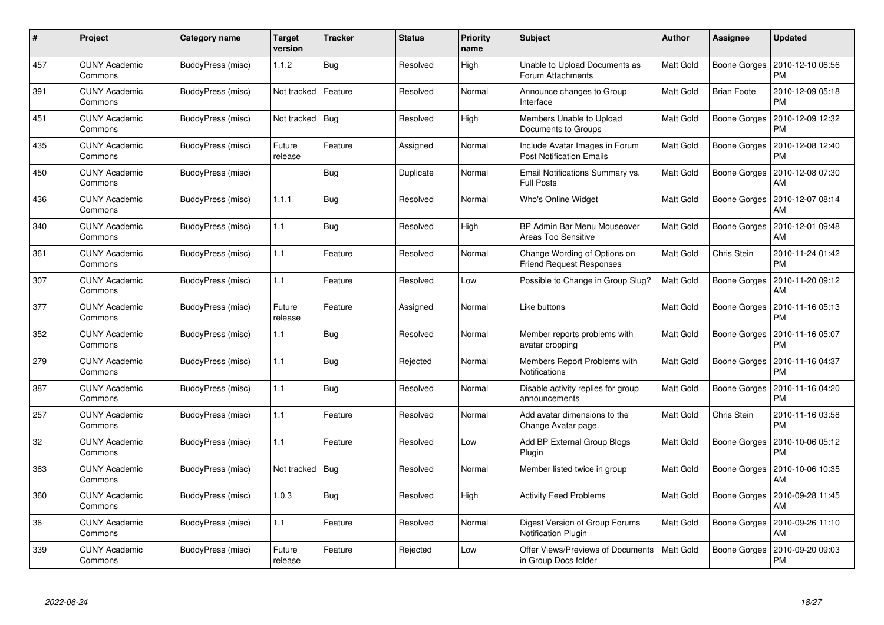| #   | Project                         | Category name            | <b>Target</b><br>version | <b>Tracker</b> | <b>Status</b> | <b>Priority</b><br>name | <b>Subject</b>                                                    | <b>Author</b>    | Assignee            | <b>Updated</b>                        |
|-----|---------------------------------|--------------------------|--------------------------|----------------|---------------|-------------------------|-------------------------------------------------------------------|------------------|---------------------|---------------------------------------|
| 457 | <b>CUNY Academic</b><br>Commons | BuddyPress (misc)        | 1.1.2                    | Bug            | Resolved      | High                    | Unable to Upload Documents as<br><b>Forum Attachments</b>         | Matt Gold        | Boone Gorges        | 2010-12-10 06:56<br><b>PM</b>         |
| 391 | <b>CUNY Academic</b><br>Commons | BuddyPress (misc)        | Not tracked              | Feature        | Resolved      | Normal                  | Announce changes to Group<br>Interface                            | <b>Matt Gold</b> | <b>Brian Foote</b>  | 2010-12-09 05:18<br><b>PM</b>         |
| 451 | <b>CUNY Academic</b><br>Commons | BuddyPress (misc)        | Not tracked              | <b>Bug</b>     | Resolved      | High                    | Members Unable to Upload<br>Documents to Groups                   | Matt Gold        | Boone Gorges        | 2010-12-09 12:32<br><b>PM</b>         |
| 435 | <b>CUNY Academic</b><br>Commons | <b>BuddyPress (misc)</b> | Future<br>release        | Feature        | Assigned      | Normal                  | Include Avatar Images in Forum<br><b>Post Notification Emails</b> | Matt Gold        | Boone Gorges        | 2010-12-08 12:40<br><b>PM</b>         |
| 450 | <b>CUNY Academic</b><br>Commons | BuddyPress (misc)        |                          | <b>Bug</b>     | Duplicate     | Normal                  | Email Notifications Summary vs.<br><b>Full Posts</b>              | Matt Gold        | <b>Boone Gorges</b> | 2010-12-08 07:30<br>AM                |
| 436 | <b>CUNY Academic</b><br>Commons | BuddyPress (misc)        | 1.1.1                    | Bug            | Resolved      | Normal                  | Who's Online Widget                                               | Matt Gold        | Boone Gorges        | 2010-12-07 08:14<br>AM                |
| 340 | <b>CUNY Academic</b><br>Commons | BuddyPress (misc)        | 1.1                      | <b>Bug</b>     | Resolved      | High                    | BP Admin Bar Menu Mouseover<br><b>Areas Too Sensitive</b>         | Matt Gold        | Boone Gorges        | 2010-12-01 09:48<br>AM                |
| 361 | <b>CUNY Academic</b><br>Commons | <b>BuddyPress (misc)</b> | 1.1                      | Feature        | Resolved      | Normal                  | Change Wording of Options on<br><b>Friend Request Responses</b>   | Matt Gold        | Chris Stein         | 2010-11-24 01:42<br><b>PM</b>         |
| 307 | <b>CUNY Academic</b><br>Commons | BuddyPress (misc)        | 1.1                      | Feature        | Resolved      | Low                     | Possible to Change in Group Slug?                                 | Matt Gold        | Boone Gorges        | 2010-11-20 09:12<br>AM                |
| 377 | <b>CUNY Academic</b><br>Commons | BuddyPress (misc)        | Future<br>release        | Feature        | Assigned      | Normal                  | Like buttons                                                      | Matt Gold        | Boone Gorges        | 2010-11-16 05:13<br><b>PM</b>         |
| 352 | <b>CUNY Academic</b><br>Commons | BuddyPress (misc)        | 1.1                      | Bug            | Resolved      | Normal                  | Member reports problems with<br>avatar cropping                   | Matt Gold        | Boone Gorges        | 2010-11-16 05:07<br><b>PM</b>         |
| 279 | <b>CUNY Academic</b><br>Commons | BuddyPress (misc)        | 1.1                      | Bug            | Rejected      | Normal                  | Members Report Problems with<br>Notifications                     | Matt Gold        | Boone Gorges        | 2010-11-16 04:37<br><b>PM</b>         |
| 387 | <b>CUNY Academic</b><br>Commons | BuddyPress (misc)        | 1.1                      | <b>Bug</b>     | Resolved      | Normal                  | Disable activity replies for group<br>announcements               | Matt Gold        | Boone Gorges        | 2010-11-16 04:20<br><b>PM</b>         |
| 257 | <b>CUNY Academic</b><br>Commons | BuddyPress (misc)        | 1.1                      | Feature        | Resolved      | Normal                  | Add avatar dimensions to the<br>Change Avatar page.               | Matt Gold        | Chris Stein         | 2010-11-16 03:58<br><b>PM</b>         |
| 32  | <b>CUNY Academic</b><br>Commons | BuddyPress (misc)        | 1.1                      | Feature        | Resolved      | Low                     | Add BP External Group Blogs<br>Plugin                             | Matt Gold        | <b>Boone Gorges</b> | 2010-10-06 05:12<br><b>PM</b>         |
| 363 | <b>CUNY Academic</b><br>Commons | BuddyPress (misc)        | Not tracked              | Bug            | Resolved      | Normal                  | Member listed twice in group                                      | Matt Gold        |                     | Boone Gorges   2010-10-06 10:35<br>AM |
| 360 | <b>CUNY Academic</b><br>Commons | BuddyPress (misc)        | 1.0.3                    | <b>Bug</b>     | Resolved      | High                    | <b>Activity Feed Problems</b>                                     | Matt Gold        | Boone Gorges        | 2010-09-28 11:45<br>AM                |
| 36  | <b>CUNY Academic</b><br>Commons | BuddyPress (misc)        | 1.1                      | Feature        | Resolved      | Normal                  | Digest Version of Group Forums<br><b>Notification Plugin</b>      | Matt Gold        | Boone Gorges        | 2010-09-26 11:10<br>AM                |
| 339 | CUNY Academic<br>Commons        | BuddyPress (misc)        | Future<br>release        | Feature        | Rejected      | Low                     | Offer Views/Previews of Documents<br>in Group Docs folder         | Matt Gold        | Boone Gorges        | 2010-09-20 09:03<br><b>PM</b>         |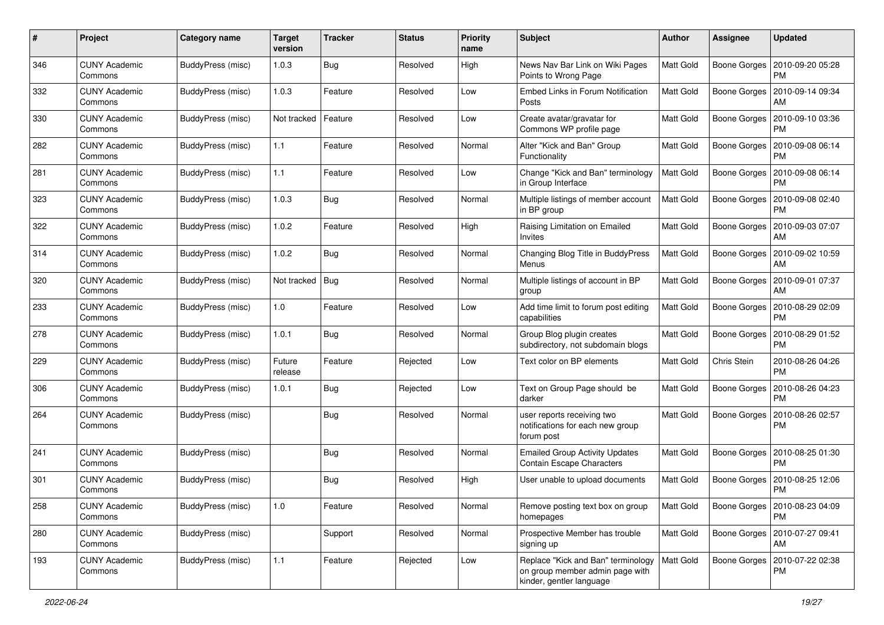| #   | Project                         | <b>Category name</b>     | <b>Target</b><br>version | <b>Tracker</b> | <b>Status</b> | <b>Priority</b><br>name | Subject                                                                                           | Author           | Assignee            | <b>Updated</b>                               |
|-----|---------------------------------|--------------------------|--------------------------|----------------|---------------|-------------------------|---------------------------------------------------------------------------------------------------|------------------|---------------------|----------------------------------------------|
| 346 | <b>CUNY Academic</b><br>Commons | BuddyPress (misc)        | 1.0.3                    | <b>Bug</b>     | Resolved      | High                    | News Nav Bar Link on Wiki Pages<br>Points to Wrong Page                                           | Matt Gold        | Boone Gorges        | 2010-09-20 05:28<br><b>PM</b>                |
| 332 | <b>CUNY Academic</b><br>Commons | BuddyPress (misc)        | 1.0.3                    | Feature        | Resolved      | Low                     | <b>Embed Links in Forum Notification</b><br>Posts                                                 | <b>Matt Gold</b> | Boone Gorges        | 2010-09-14 09:34<br>AM                       |
| 330 | <b>CUNY Academic</b><br>Commons | <b>BuddyPress (misc)</b> | Not tracked              | Feature        | Resolved      | Low                     | Create avatar/gravatar for<br>Commons WP profile page                                             | Matt Gold        | Boone Gorges        | 2010-09-10 03:36<br><b>PM</b>                |
| 282 | <b>CUNY Academic</b><br>Commons | BuddyPress (misc)        | 1.1                      | Feature        | Resolved      | Normal                  | Alter "Kick and Ban" Group<br>Functionality                                                       | Matt Gold        | Boone Gorges        | 2010-09-08 06:14<br><b>PM</b>                |
| 281 | <b>CUNY Academic</b><br>Commons | <b>BuddyPress (misc)</b> | 1.1                      | Feature        | Resolved      | Low                     | Change "Kick and Ban" terminology<br>in Group Interface                                           | <b>Matt Gold</b> | Boone Gorges        | 2010-09-08 06:14<br><b>PM</b>                |
| 323 | <b>CUNY Academic</b><br>Commons | BuddyPress (misc)        | 1.0.3                    | <b>Bug</b>     | Resolved      | Normal                  | Multiple listings of member account<br>in BP group                                                | Matt Gold        | Boone Gorges        | 2010-09-08 02:40<br><b>PM</b>                |
| 322 | <b>CUNY Academic</b><br>Commons | <b>BuddyPress</b> (misc) | 1.0.2                    | Feature        | Resolved      | High                    | Raising Limitation on Emailed<br>Invites                                                          | Matt Gold        | Boone Gorges        | 2010-09-03 07:07<br>AM                       |
| 314 | <b>CUNY Academic</b><br>Commons | BuddyPress (misc)        | 1.0.2                    | Bug            | Resolved      | Normal                  | Changing Blog Title in BuddyPress<br>Menus                                                        | Matt Gold        | Boone Gorges        | 2010-09-02 10:59<br>AM                       |
| 320 | <b>CUNY Academic</b><br>Commons | <b>BuddyPress (misc)</b> | Not tracked   Bug        |                | Resolved      | Normal                  | Multiple listings of account in BP<br>group                                                       | Matt Gold        | Boone Gorges        | 2010-09-01 07:37<br>AM                       |
| 233 | <b>CUNY Academic</b><br>Commons | <b>BuddyPress (misc)</b> | 1.0                      | Feature        | Resolved      | Low                     | Add time limit to forum post editing<br>capabilities                                              | <b>Matt Gold</b> | Boone Gorges        | 2010-08-29 02:09<br><b>PM</b>                |
| 278 | <b>CUNY Academic</b><br>Commons | <b>BuddyPress (misc)</b> | 1.0.1                    | <b>Bug</b>     | Resolved      | Normal                  | Group Blog plugin creates<br>subdirectory, not subdomain blogs                                    | Matt Gold        | <b>Boone Gorges</b> | 2010-08-29 01:52<br><b>PM</b>                |
| 229 | <b>CUNY Academic</b><br>Commons | <b>BuddyPress (misc)</b> | Future<br>release        | Feature        | Rejected      | Low                     | Text color on BP elements                                                                         | Matt Gold        | Chris Stein         | 2010-08-26 04:26<br><b>PM</b>                |
| 306 | <b>CUNY Academic</b><br>Commons | BuddyPress (misc)        | 1.0.1                    | Bug            | Rejected      | Low                     | Text on Group Page should be<br>darker                                                            | Matt Gold        | Boone Gorges        | 2010-08-26 04:23<br><b>PM</b>                |
| 264 | <b>CUNY Academic</b><br>Commons | <b>BuddyPress (misc)</b> |                          | <b>Bug</b>     | Resolved      | Normal                  | user reports receiving two<br>notifications for each new group<br>forum post                      | Matt Gold        | Boone Gorges        | 2010-08-26 02:57<br><b>PM</b>                |
| 241 | <b>CUNY Academic</b><br>Commons | <b>BuddyPress</b> (misc) |                          | <b>Bug</b>     | Resolved      | Normal                  | <b>Emailed Group Activity Updates</b><br><b>Contain Escape Characters</b>                         | Matt Gold        | Boone Gorges        | 2010-08-25 01:30<br><b>PM</b>                |
| 301 | <b>CUNY Academic</b><br>Commons | <b>BuddyPress (misc)</b> |                          | Bug            | Resolved      | High                    | User unable to upload documents                                                                   | <b>Matt Gold</b> | Boone Gorges        | 2010-08-25 12:06<br><b>PM</b>                |
| 258 | <b>CUNY Academic</b><br>Commons | BuddyPress (misc)        | $1.0$                    | Feature        | Resolved      | Normal                  | Remove posting text box on group<br>homepages                                                     | Matt Gold        |                     | Boone Gorges   2010-08-23 04:09<br><b>PM</b> |
| 280 | <b>CUNY Academic</b><br>Commons | BuddyPress (misc)        |                          | Support        | Resolved      | Normal                  | Prospective Member has trouble<br>signing up                                                      | Matt Gold        |                     | Boone Gorges   2010-07-27 09:41<br>AM        |
| 193 | <b>CUNY Academic</b><br>Commons | BuddyPress (misc)        | 1.1                      | Feature        | Rejected      | Low                     | Replace "Kick and Ban" terminology<br>on group member admin page with<br>kinder, gentler language | Matt Gold        | Boone Gorges        | 2010-07-22 02:38<br>PM                       |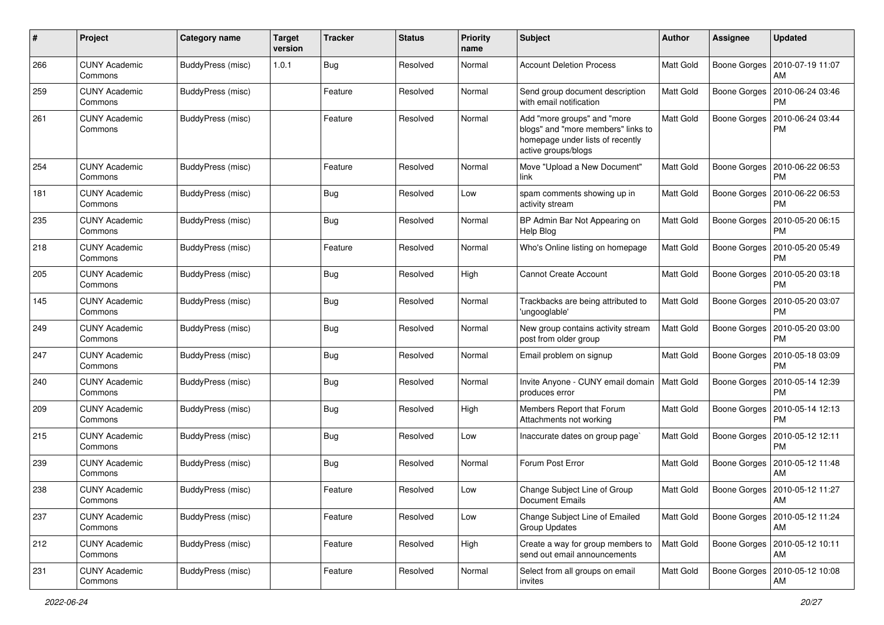| #   | Project                         | Category name     | <b>Target</b><br>version | <b>Tracker</b> | <b>Status</b> | <b>Priority</b><br>name | Subject                                                                                                                      | Author    | <b>Assignee</b>     | <b>Updated</b>                        |
|-----|---------------------------------|-------------------|--------------------------|----------------|---------------|-------------------------|------------------------------------------------------------------------------------------------------------------------------|-----------|---------------------|---------------------------------------|
| 266 | <b>CUNY Academic</b><br>Commons | BuddyPress (misc) | 1.0.1                    | <b>Bug</b>     | Resolved      | Normal                  | <b>Account Deletion Process</b>                                                                                              | Matt Gold | Boone Gorges        | 2010-07-19 11:07<br>AM                |
| 259 | <b>CUNY Academic</b><br>Commons | BuddyPress (misc) |                          | Feature        | Resolved      | Normal                  | Send group document description<br>with email notification                                                                   | Matt Gold | Boone Gorges        | 2010-06-24 03:46<br><b>PM</b>         |
| 261 | <b>CUNY Academic</b><br>Commons | BuddyPress (misc) |                          | Feature        | Resolved      | Normal                  | Add "more groups" and "more<br>blogs" and "more members" links to<br>homepage under lists of recently<br>active groups/blogs | Matt Gold | Boone Gorges        | 2010-06-24 03:44<br><b>PM</b>         |
| 254 | <b>CUNY Academic</b><br>Commons | BuddyPress (misc) |                          | Feature        | Resolved      | Normal                  | Move "Upload a New Document"<br>link                                                                                         | Matt Gold | Boone Gorges        | 2010-06-22 06:53<br><b>PM</b>         |
| 181 | <b>CUNY Academic</b><br>Commons | BuddyPress (misc) |                          | <b>Bug</b>     | Resolved      | Low                     | spam comments showing up in<br>activity stream                                                                               | Matt Gold | Boone Gorges        | 2010-06-22 06:53<br><b>PM</b>         |
| 235 | <b>CUNY Academic</b><br>Commons | BuddyPress (misc) |                          | Bug            | Resolved      | Normal                  | BP Admin Bar Not Appearing on<br>Help Blog                                                                                   | Matt Gold | Boone Gorges        | 2010-05-20 06:15<br><b>PM</b>         |
| 218 | <b>CUNY Academic</b><br>Commons | BuddyPress (misc) |                          | Feature        | Resolved      | Normal                  | Who's Online listing on homepage                                                                                             | Matt Gold | Boone Gorges        | 2010-05-20 05:49<br><b>PM</b>         |
| 205 | <b>CUNY Academic</b><br>Commons | BuddyPress (misc) |                          | Bug            | Resolved      | High                    | <b>Cannot Create Account</b>                                                                                                 | Matt Gold | Boone Gorges        | 2010-05-20 03:18<br><b>PM</b>         |
| 145 | <b>CUNY Academic</b><br>Commons | BuddyPress (misc) |                          | Bug            | Resolved      | Normal                  | Trackbacks are being attributed to<br>'ungooglable'                                                                          | Matt Gold | Boone Gorges        | 2010-05-20 03:07<br><b>PM</b>         |
| 249 | <b>CUNY Academic</b><br>Commons | BuddyPress (misc) |                          | Bug            | Resolved      | Normal                  | New group contains activity stream<br>post from older group                                                                  | Matt Gold | Boone Gorges        | 2010-05-20 03:00<br>PM                |
| 247 | <b>CUNY Academic</b><br>Commons | BuddyPress (misc) |                          | Bug            | Resolved      | Normal                  | Email problem on signup                                                                                                      | Matt Gold | Boone Gorges        | 2010-05-18 03:09<br><b>PM</b>         |
| 240 | <b>CUNY Academic</b><br>Commons | BuddyPress (misc) |                          | Bug            | Resolved      | Normal                  | Invite Anyone - CUNY email domain<br>produces error                                                                          | Matt Gold | Boone Gorges        | 2010-05-14 12:39<br><b>PM</b>         |
| 209 | <b>CUNY Academic</b><br>Commons | BuddyPress (misc) |                          | <b>Bug</b>     | Resolved      | High                    | Members Report that Forum<br>Attachments not working                                                                         | Matt Gold | Boone Gorges        | 2010-05-14 12:13<br>PM                |
| 215 | <b>CUNY Academic</b><br>Commons | BuddyPress (misc) |                          | <b>Bug</b>     | Resolved      | Low                     | Inaccurate dates on group page`                                                                                              | Matt Gold | Boone Gorges        | 2010-05-12 12:11<br><b>PM</b>         |
| 239 | <b>CUNY Academic</b><br>Commons | BuddyPress (misc) |                          | <b>Bug</b>     | Resolved      | Normal                  | Forum Post Error                                                                                                             | Matt Gold |                     | Boone Gorges   2010-05-12 11:48<br>AM |
| 238 | <b>CUNY Academic</b><br>Commons | BuddyPress (misc) |                          | Feature        | Resolved      | Low                     | Change Subject Line of Group<br><b>Document Emails</b>                                                                       | Matt Gold | Boone Gorges        | 2010-05-12 11:27<br>AM                |
| 237 | <b>CUNY Academic</b><br>Commons | BuddyPress (misc) |                          | Feature        | Resolved      | Low                     | Change Subject Line of Emailed<br><b>Group Updates</b>                                                                       | Matt Gold | Boone Gorges        | 2010-05-12 11:24<br>AM                |
| 212 | <b>CUNY Academic</b><br>Commons | BuddyPress (misc) |                          | Feature        | Resolved      | High                    | Create a way for group members to<br>send out email announcements                                                            | Matt Gold | Boone Gorges        | 2010-05-12 10:11<br>AM                |
| 231 | <b>CUNY Academic</b><br>Commons | BuddyPress (misc) |                          | Feature        | Resolved      | Normal                  | Select from all groups on email<br>invites                                                                                   | Matt Gold | <b>Boone Gorges</b> | 2010-05-12 10:08<br>AM                |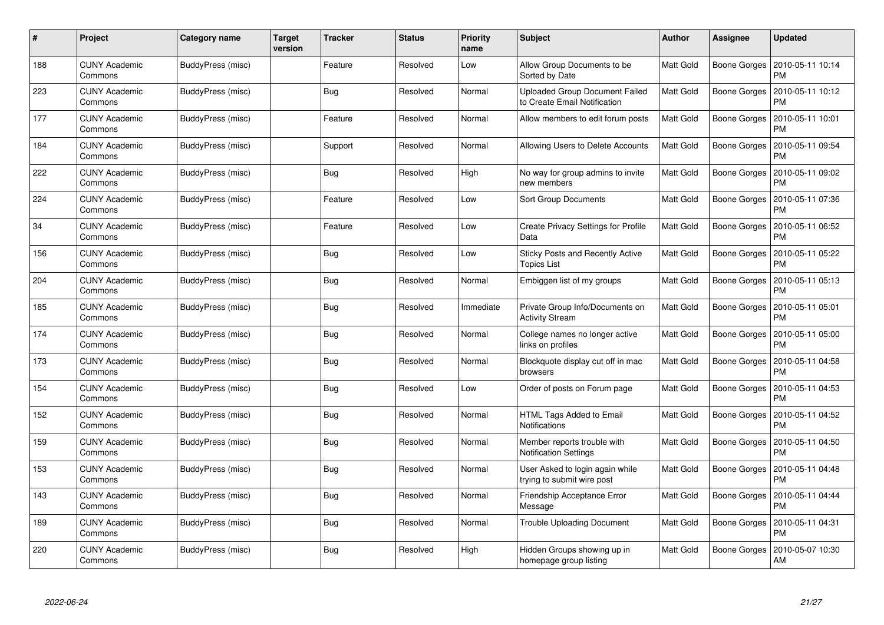| #   | Project                         | Category name     | <b>Target</b><br>version | <b>Tracker</b> | <b>Status</b> | <b>Priority</b><br>name | <b>Subject</b>                                                        | <b>Author</b> | Assignee     | <b>Updated</b>                |
|-----|---------------------------------|-------------------|--------------------------|----------------|---------------|-------------------------|-----------------------------------------------------------------------|---------------|--------------|-------------------------------|
| 188 | <b>CUNY Academic</b><br>Commons | BuddyPress (misc) |                          | Feature        | Resolved      | Low                     | Allow Group Documents to be<br>Sorted by Date                         | Matt Gold     | Boone Gorges | 2010-05-11 10:14<br><b>PM</b> |
| 223 | <b>CUNY Academic</b><br>Commons | BuddyPress (misc) |                          | Bug            | Resolved      | Normal                  | <b>Uploaded Group Document Failed</b><br>to Create Email Notification | Matt Gold     | Boone Gorges | 2010-05-11 10:12<br>PM        |
| 177 | <b>CUNY Academic</b><br>Commons | BuddyPress (misc) |                          | Feature        | Resolved      | Normal                  | Allow members to edit forum posts                                     | Matt Gold     | Boone Gorges | 2010-05-11 10:01<br><b>PM</b> |
| 184 | <b>CUNY Academic</b><br>Commons | BuddyPress (misc) |                          | Support        | Resolved      | Normal                  | Allowing Users to Delete Accounts                                     | Matt Gold     | Boone Gorges | 2010-05-11 09:54<br><b>PM</b> |
| 222 | <b>CUNY Academic</b><br>Commons | BuddyPress (misc) |                          | Bug            | Resolved      | High                    | No way for group admins to invite<br>new members                      | Matt Gold     | Boone Gorges | 2010-05-11 09:02<br><b>PM</b> |
| 224 | <b>CUNY Academic</b><br>Commons | BuddyPress (misc) |                          | Feature        | Resolved      | Low                     | <b>Sort Group Documents</b>                                           | Matt Gold     | Boone Gorges | 2010-05-11 07:36<br><b>PM</b> |
| 34  | <b>CUNY Academic</b><br>Commons | BuddyPress (misc) |                          | Feature        | Resolved      | Low                     | Create Privacy Settings for Profile<br>Data                           | Matt Gold     | Boone Gorges | 2010-05-11 06:52<br><b>PM</b> |
| 156 | <b>CUNY Academic</b><br>Commons | BuddyPress (misc) |                          | Bug            | Resolved      | Low                     | Sticky Posts and Recently Active<br><b>Topics List</b>                | Matt Gold     | Boone Gorges | 2010-05-11 05:22<br><b>PM</b> |
| 204 | <b>CUNY Academic</b><br>Commons | BuddyPress (misc) |                          | Bug            | Resolved      | Normal                  | Embiggen list of my groups                                            | Matt Gold     | Boone Gorges | 2010-05-11 05:13<br>PM        |
| 185 | <b>CUNY Academic</b><br>Commons | BuddyPress (misc) |                          | Bug            | Resolved      | Immediate               | Private Group Info/Documents on<br><b>Activity Stream</b>             | Matt Gold     | Boone Gorges | 2010-05-11 05:01<br><b>PM</b> |
| 174 | <b>CUNY Academic</b><br>Commons | BuddyPress (misc) |                          | Bug            | Resolved      | Normal                  | College names no longer active<br>links on profiles                   | Matt Gold     | Boone Gorges | 2010-05-11 05:00<br><b>PM</b> |
| 173 | <b>CUNY Academic</b><br>Commons | BuddyPress (misc) |                          | <b>Bug</b>     | Resolved      | Normal                  | Blockquote display cut off in mac<br>browsers                         | Matt Gold     | Boone Gorges | 2010-05-11 04:58<br>PM        |
| 154 | <b>CUNY Academic</b><br>Commons | BuddyPress (misc) |                          | Bug            | Resolved      | Low                     | Order of posts on Forum page                                          | Matt Gold     | Boone Gorges | 2010-05-11 04:53<br><b>PM</b> |
| 152 | <b>CUNY Academic</b><br>Commons | BuddyPress (misc) |                          | Bug            | Resolved      | Normal                  | HTML Tags Added to Email<br><b>Notifications</b>                      | Matt Gold     | Boone Gorges | 2010-05-11 04:52<br><b>PM</b> |
| 159 | <b>CUNY Academic</b><br>Commons | BuddyPress (misc) |                          | <b>Bug</b>     | Resolved      | Normal                  | Member reports trouble with<br><b>Notification Settings</b>           | Matt Gold     | Boone Gorges | 2010-05-11 04:50<br><b>PM</b> |
| 153 | <b>CUNY Academic</b><br>Commons | BuddyPress (misc) |                          | Bug            | Resolved      | Normal                  | User Asked to login again while<br>trying to submit wire post         | Matt Gold     | Boone Gorges | 2010-05-11 04:48<br><b>PM</b> |
| 143 | <b>CUNY Academic</b><br>Commons | BuddyPress (misc) |                          | <b>Bug</b>     | Resolved      | Normal                  | Friendship Acceptance Error<br>Message                                | Matt Gold     | Boone Gorges | 2010-05-11 04:44<br><b>PM</b> |
| 189 | <b>CUNY Academic</b><br>Commons | BuddyPress (misc) |                          | <b>Bug</b>     | Resolved      | Normal                  | <b>Trouble Uploading Document</b>                                     | Matt Gold     | Boone Gorges | 2010-05-11 04:31<br><b>PM</b> |
| 220 | CUNY Academic<br>Commons        | BuddyPress (misc) |                          | <b>Bug</b>     | Resolved      | High                    | Hidden Groups showing up in<br>homepage group listing                 | Matt Gold     | Boone Gorges | 2010-05-07 10:30<br>AM        |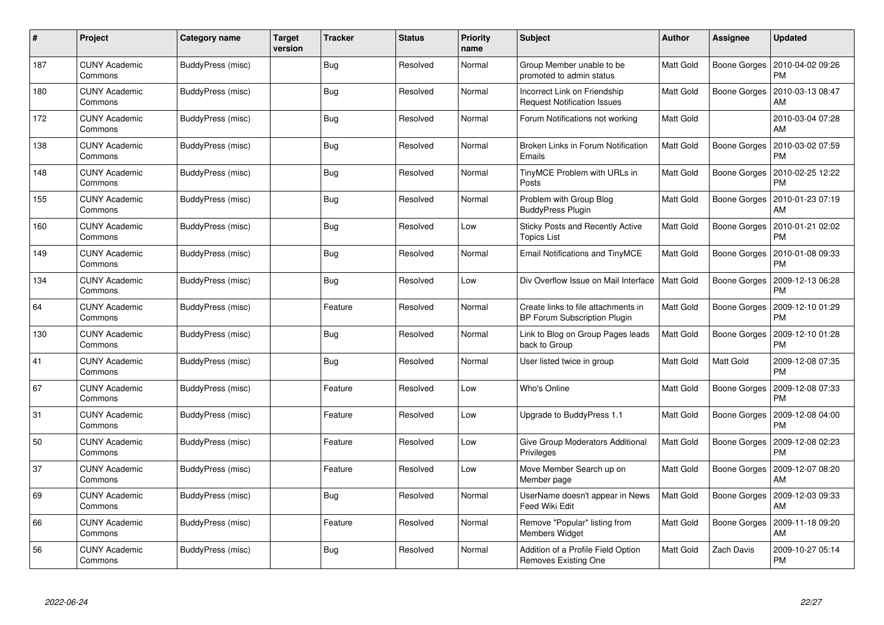| #   | Project                         | Category name            | <b>Target</b><br>version | <b>Tracker</b> | <b>Status</b> | <b>Priority</b><br>name | <b>Subject</b>                                                             | <b>Author</b>    | Assignee            | <b>Updated</b>                |
|-----|---------------------------------|--------------------------|--------------------------|----------------|---------------|-------------------------|----------------------------------------------------------------------------|------------------|---------------------|-------------------------------|
| 187 | <b>CUNY Academic</b><br>Commons | BuddyPress (misc)        |                          | <b>Bug</b>     | Resolved      | Normal                  | Group Member unable to be<br>promoted to admin status                      | Matt Gold        | Boone Gorges        | 2010-04-02 09:26<br><b>PM</b> |
| 180 | <b>CUNY Academic</b><br>Commons | BuddyPress (misc)        |                          | Bug            | Resolved      | Normal                  | Incorrect Link on Friendship<br><b>Request Notification Issues</b>         | Matt Gold        | Boone Gorges        | 2010-03-13 08:47<br>AM        |
| 172 | <b>CUNY Academic</b><br>Commons | BuddyPress (misc)        |                          | <b>Bug</b>     | Resolved      | Normal                  | Forum Notifications not working                                            | Matt Gold        |                     | 2010-03-04 07:28<br>AM        |
| 138 | <b>CUNY Academic</b><br>Commons | BuddyPress (misc)        |                          | Bug            | Resolved      | Normal                  | Broken Links in Forum Notification<br>Emails                               | Matt Gold        | Boone Gorges        | 2010-03-02 07:59<br><b>PM</b> |
| 148 | <b>CUNY Academic</b><br>Commons | BuddyPress (misc)        |                          | <b>Bug</b>     | Resolved      | Normal                  | TinyMCE Problem with URLs in<br>Posts                                      | Matt Gold        | Boone Gorges        | 2010-02-25 12:22<br><b>PM</b> |
| 155 | <b>CUNY Academic</b><br>Commons | BuddyPress (misc)        |                          | <b>Bug</b>     | Resolved      | Normal                  | Problem with Group Blog<br><b>BuddyPress Plugin</b>                        | Matt Gold        | Boone Gorges        | 2010-01-23 07:19<br>AM        |
| 160 | <b>CUNY Academic</b><br>Commons | BuddyPress (misc)        |                          | <b>Bug</b>     | Resolved      | Low                     | Sticky Posts and Recently Active<br><b>Topics List</b>                     | Matt Gold        | Boone Gorges        | 2010-01-21 02:02<br><b>PM</b> |
| 149 | <b>CUNY Academic</b><br>Commons | BuddyPress (misc)        |                          | <b>Bug</b>     | Resolved      | Normal                  | <b>Email Notifications and TinyMCE</b>                                     | Matt Gold        | Boone Gorges        | 2010-01-08 09:33<br><b>PM</b> |
| 134 | <b>CUNY Academic</b><br>Commons | BuddyPress (misc)        |                          | <b>Bug</b>     | Resolved      | Low                     | Div Overflow Issue on Mail Interface                                       | <b>Matt Gold</b> | <b>Boone Gorges</b> | 2009-12-13 06:28<br>PM        |
| 64  | <b>CUNY Academic</b><br>Commons | BuddyPress (misc)        |                          | Feature        | Resolved      | Normal                  | Create links to file attachments in<br><b>BP Forum Subscription Plugin</b> | Matt Gold        | Boone Gorges        | 2009-12-10 01:29<br><b>PM</b> |
| 130 | <b>CUNY Academic</b><br>Commons | BuddyPress (misc)        |                          | <b>Bug</b>     | Resolved      | Normal                  | Link to Blog on Group Pages leads<br>back to Group                         | Matt Gold        | Boone Gorges        | 2009-12-10 01:28<br><b>PM</b> |
| 41  | <b>CUNY Academic</b><br>Commons | BuddyPress (misc)        |                          | Bug            | Resolved      | Normal                  | User listed twice in group                                                 | Matt Gold        | Matt Gold           | 2009-12-08 07:35<br><b>PM</b> |
| 67  | <b>CUNY Academic</b><br>Commons | BuddyPress (misc)        |                          | Feature        | Resolved      | Low                     | Who's Online                                                               | <b>Matt Gold</b> | Boone Gorges        | 2009-12-08 07:33<br><b>PM</b> |
| 31  | <b>CUNY Academic</b><br>Commons | BuddyPress (misc)        |                          | Feature        | Resolved      | Low                     | Upgrade to BuddyPress 1.1                                                  | Matt Gold        | Boone Gorges        | 2009-12-08 04:00<br><b>PM</b> |
| 50  | <b>CUNY Academic</b><br>Commons | BuddyPress (misc)        |                          | Feature        | Resolved      | Low                     | Give Group Moderators Additional<br>Privileges                             | Matt Gold        | <b>Boone Gorges</b> | 2009-12-08 02:23<br><b>PM</b> |
| 37  | <b>CUNY Academic</b><br>Commons | BuddyPress (misc)        |                          | Feature        | Resolved      | Low                     | Move Member Search up on<br>Member page                                    | Matt Gold        | Boone Gorges        | 2009-12-07 08:20<br>AM        |
| 69  | <b>CUNY Academic</b><br>Commons | BuddyPress (misc)        |                          | Bug            | Resolved      | Normal                  | UserName doesn't appear in News<br>Feed Wiki Edit                          | Matt Gold        | Boone Gorges        | 2009-12-03 09:33<br>AM        |
| 66  | <b>CUNY Academic</b><br>Commons | BuddyPress (misc)        |                          | Feature        | Resolved      | Normal                  | Remove "Popular" listing from<br>Members Widget                            | Matt Gold        | Boone Gorges        | 2009-11-18 09:20<br>AM        |
| 56  | <b>CUNY Academic</b><br>Commons | <b>BuddyPress (misc)</b> |                          | Bug            | Resolved      | Normal                  | Addition of a Profile Field Option<br>Removes Existing One                 | Matt Gold        | Zach Davis          | 2009-10-27 05:14<br><b>PM</b> |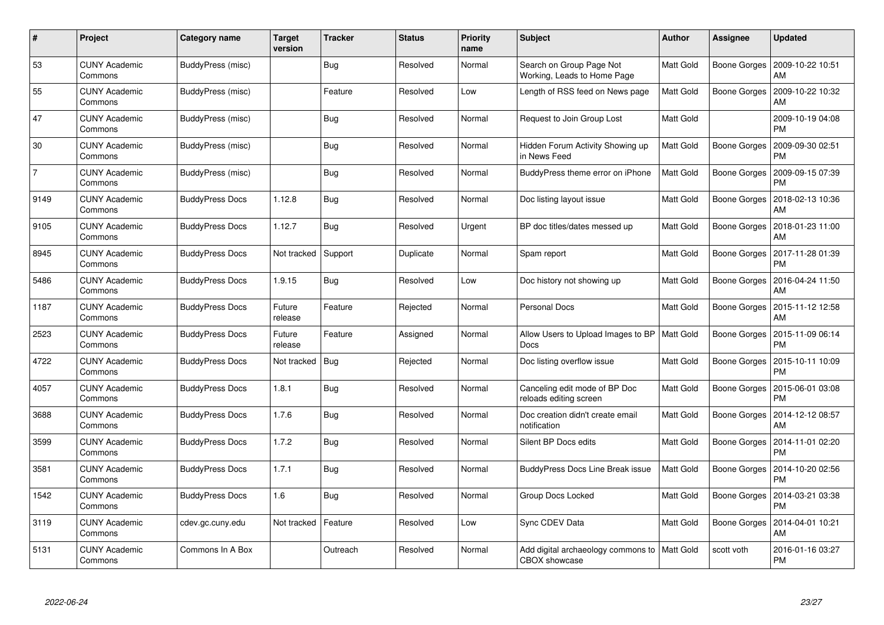| #              | Project                         | Category name          | <b>Target</b><br>version | <b>Tracker</b> | <b>Status</b> | <b>Priority</b><br>name | <b>Subject</b>                                             | <b>Author</b> | Assignee            | <b>Updated</b>                               |
|----------------|---------------------------------|------------------------|--------------------------|----------------|---------------|-------------------------|------------------------------------------------------------|---------------|---------------------|----------------------------------------------|
| 53             | <b>CUNY Academic</b><br>Commons | BuddyPress (misc)      |                          | <b>Bug</b>     | Resolved      | Normal                  | Search on Group Page Not<br>Working, Leads to Home Page    | Matt Gold     | <b>Boone Gorges</b> | 2009-10-22 10:51<br>AM                       |
| 55             | <b>CUNY Academic</b><br>Commons | BuddyPress (misc)      |                          | Feature        | Resolved      | Low                     | Length of RSS feed on News page                            | Matt Gold     | Boone Gorges        | 2009-10-22 10:32<br>AM                       |
| 47             | <b>CUNY Academic</b><br>Commons | BuddyPress (misc)      |                          | <b>Bug</b>     | Resolved      | Normal                  | Request to Join Group Lost                                 | Matt Gold     |                     | 2009-10-19 04:08<br><b>PM</b>                |
| 30             | <b>CUNY Academic</b><br>Commons | BuddyPress (misc)      |                          | Bug            | Resolved      | Normal                  | Hidden Forum Activity Showing up<br>in News Feed           | Matt Gold     | Boone Gorges        | 2009-09-30 02:51<br><b>PM</b>                |
| $\overline{7}$ | <b>CUNY Academic</b><br>Commons | BuddyPress (misc)      |                          | Bug            | Resolved      | Normal                  | BuddyPress theme error on iPhone                           | Matt Gold     | Boone Gorges        | 2009-09-15 07:39<br><b>PM</b>                |
| 9149           | <b>CUNY Academic</b><br>Commons | <b>BuddyPress Docs</b> | 1.12.8                   | Bug            | Resolved      | Normal                  | Doc listing layout issue                                   | Matt Gold     | Boone Gorges        | 2018-02-13 10:36<br>AM                       |
| 9105           | <b>CUNY Academic</b><br>Commons | <b>BuddyPress Docs</b> | 1.12.7                   | <b>Bug</b>     | Resolved      | Urgent                  | BP doc titles/dates messed up                              | Matt Gold     | Boone Gorges        | 2018-01-23 11:00<br>AM                       |
| 8945           | <b>CUNY Academic</b><br>Commons | <b>BuddyPress Docs</b> | Not tracked              | Support        | Duplicate     | Normal                  | Spam report                                                | Matt Gold     | Boone Gorges        | 2017-11-28 01:39<br><b>PM</b>                |
| 5486           | <b>CUNY Academic</b><br>Commons | <b>BuddyPress Docs</b> | 1.9.15                   | Bug            | Resolved      | Low                     | Doc history not showing up                                 | Matt Gold     | Boone Gorges        | 2016-04-24 11:50<br>AM                       |
| 1187           | <b>CUNY Academic</b><br>Commons | <b>BuddyPress Docs</b> | Future<br>release        | Feature        | Rejected      | Normal                  | Personal Docs                                              | Matt Gold     | Boone Gorges        | 2015-11-12 12:58<br>AM                       |
| 2523           | <b>CUNY Academic</b><br>Commons | <b>BuddyPress Docs</b> | Future<br>release        | Feature        | Assigned      | Normal                  | Allow Users to Upload Images to BP<br>Docs                 | Matt Gold     | Boone Gorges        | 2015-11-09 06:14<br><b>PM</b>                |
| 4722           | <b>CUNY Academic</b><br>Commons | <b>BuddyPress Docs</b> | Not tracked              | <b>Bug</b>     | Rejected      | Normal                  | Doc listing overflow issue                                 | Matt Gold     | Boone Gorges        | 2015-10-11 10:09<br><b>PM</b>                |
| 4057           | <b>CUNY Academic</b><br>Commons | <b>BuddyPress Docs</b> | 1.8.1                    | <b>Bug</b>     | Resolved      | Normal                  | Canceling edit mode of BP Doc<br>reloads editing screen    | Matt Gold     | Boone Gorges        | 2015-06-01 03:08<br><b>PM</b>                |
| 3688           | <b>CUNY Academic</b><br>Commons | <b>BuddyPress Docs</b> | 1.7.6                    | Bug            | Resolved      | Normal                  | Doc creation didn't create email<br>notification           | Matt Gold     | Boone Gorges        | 2014-12-12 08:57<br>AM                       |
| 3599           | <b>CUNY Academic</b><br>Commons | <b>BuddyPress Docs</b> | 1.7.2                    | Bug            | Resolved      | Normal                  | Silent BP Docs edits                                       | Matt Gold     | Boone Gorges        | 2014-11-01 02:20<br><b>PM</b>                |
| 3581           | <b>CUNY Academic</b><br>Commons | <b>BuddyPress Docs</b> | 1.7.1                    | Bug            | Resolved      | Normal                  | <b>BuddyPress Docs Line Break issue</b>                    | Matt Gold     |                     | Boone Gorges   2014-10-20 02:56<br><b>PM</b> |
| 1542           | <b>CUNY Academic</b><br>Commons | <b>BuddyPress Docs</b> | 1.6                      | Bug            | Resolved      | Normal                  | Group Docs Locked                                          | Matt Gold     | Boone Gorges        | 2014-03-21 03:38<br><b>PM</b>                |
| 3119           | <b>CUNY Academic</b><br>Commons | cdev.gc.cuny.edu       | Not tracked              | Feature        | Resolved      | Low                     | Sync CDEV Data                                             | Matt Gold     | Boone Gorges        | 2014-04-01 10:21<br>AM                       |
| 5131           | CUNY Academic<br>Commons        | Commons In A Box       |                          | Outreach       | Resolved      | Normal                  | Add digital archaeology commons to<br><b>CBOX</b> showcase | Matt Gold     | scott voth          | 2016-01-16 03:27<br><b>PM</b>                |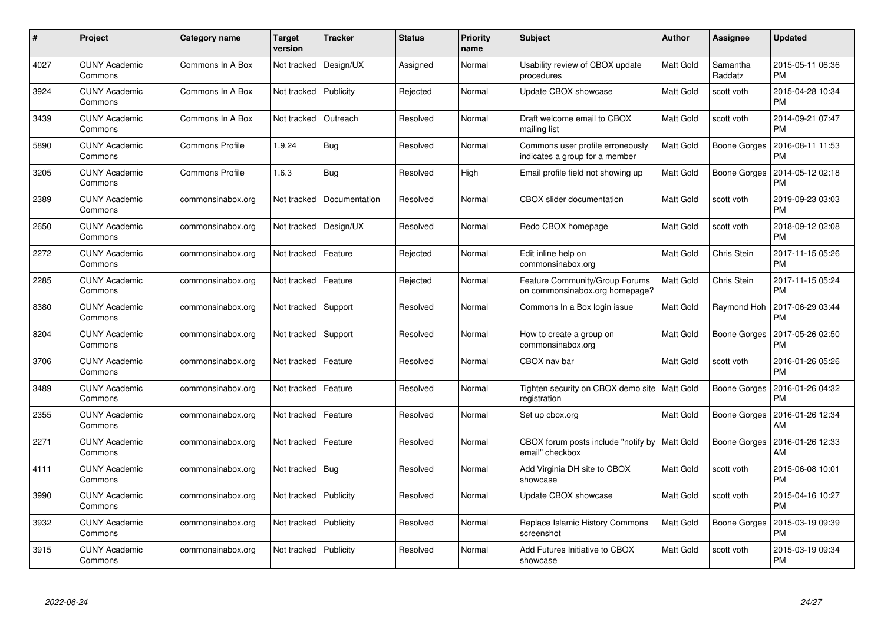| $\#$ | Project                         | Category name          | Target<br>version | <b>Tracker</b> | <b>Status</b> | <b>Priority</b><br>name | <b>Subject</b>                                                     | <b>Author</b> | Assignee            | <b>Updated</b>                |
|------|---------------------------------|------------------------|-------------------|----------------|---------------|-------------------------|--------------------------------------------------------------------|---------------|---------------------|-------------------------------|
| 4027 | <b>CUNY Academic</b><br>Commons | Commons In A Box       | Not tracked       | Design/UX      | Assigned      | Normal                  | Usability review of CBOX update<br>procedures                      | Matt Gold     | Samantha<br>Raddatz | 2015-05-11 06:36<br><b>PM</b> |
| 3924 | <b>CUNY Academic</b><br>Commons | Commons In A Box       | Not tracked       | Publicity      | Rejected      | Normal                  | Update CBOX showcase                                               | Matt Gold     | scott voth          | 2015-04-28 10:34<br><b>PM</b> |
| 3439 | <b>CUNY Academic</b><br>Commons | Commons In A Box       | Not tracked       | Outreach       | Resolved      | Normal                  | Draft welcome email to CBOX<br>mailing list                        | Matt Gold     | scott voth          | 2014-09-21 07:47<br><b>PM</b> |
| 5890 | <b>CUNY Academic</b><br>Commons | <b>Commons Profile</b> | 1.9.24            | Bug            | Resolved      | Normal                  | Commons user profile erroneously<br>indicates a group for a member | Matt Gold     | Boone Gorges        | 2016-08-11 11:53<br><b>PM</b> |
| 3205 | <b>CUNY Academic</b><br>Commons | <b>Commons Profile</b> | 1.6.3             | <b>Bug</b>     | Resolved      | High                    | Email profile field not showing up                                 | Matt Gold     | Boone Gorges        | 2014-05-12 02:18<br><b>PM</b> |
| 2389 | <b>CUNY Academic</b><br>Commons | commonsinabox.org      | Not tracked       | Documentation  | Resolved      | Normal                  | CBOX slider documentation                                          | Matt Gold     | scott voth          | 2019-09-23 03:03<br><b>PM</b> |
| 2650 | <b>CUNY Academic</b><br>Commons | commonsinabox.org      | Not tracked       | Design/UX      | Resolved      | Normal                  | Redo CBOX homepage                                                 | Matt Gold     | scott voth          | 2018-09-12 02:08<br><b>PM</b> |
| 2272 | <b>CUNY Academic</b><br>Commons | commonsinabox.org      | Not tracked       | Feature        | Rejected      | Normal                  | Edit inline help on<br>commonsinabox.org                           | Matt Gold     | Chris Stein         | 2017-11-15 05:26<br><b>PM</b> |
| 2285 | <b>CUNY Academic</b><br>Commons | commonsinabox.org      | Not tracked       | Feature        | Rejected      | Normal                  | Feature Community/Group Forums<br>on commonsinabox.org homepage?   | Matt Gold     | Chris Stein         | 2017-11-15 05:24<br><b>PM</b> |
| 8380 | <b>CUNY Academic</b><br>Commons | commonsinabox.org      | Not tracked       | Support        | Resolved      | Normal                  | Commons In a Box login issue                                       | Matt Gold     | Raymond Hoh         | 2017-06-29 03:44<br><b>PM</b> |
| 8204 | <b>CUNY Academic</b><br>Commons | commonsinabox.org      | Not tracked       | Support        | Resolved      | Normal                  | How to create a group on<br>commonsinabox.org                      | Matt Gold     | Boone Gorges        | 2017-05-26 02:50<br><b>PM</b> |
| 3706 | <b>CUNY Academic</b><br>Commons | commonsinabox.org      | Not tracked       | Feature        | Resolved      | Normal                  | CBOX nav bar                                                       | Matt Gold     | scott voth          | 2016-01-26 05:26<br><b>PM</b> |
| 3489 | <b>CUNY Academic</b><br>Commons | commonsinabox.org      | Not tracked       | Feature        | Resolved      | Normal                  | Tighten security on CBOX demo site   Matt Gold<br>registration     |               | Boone Gorges        | 2016-01-26 04:32<br><b>PM</b> |
| 2355 | <b>CUNY Academic</b><br>Commons | commonsinabox.org      | Not tracked       | Feature        | Resolved      | Normal                  | Set up cbox.org                                                    | Matt Gold     | Boone Gorges        | 2016-01-26 12:34<br>AM        |
| 2271 | <b>CUNY Academic</b><br>Commons | commonsinabox.org      | Not tracked       | Feature        | Resolved      | Normal                  | CBOX forum posts include "notify by   Matt Gold<br>email" checkbox |               | Boone Gorges        | 2016-01-26 12:33<br>AM        |
| 4111 | <b>CUNY Academic</b><br>Commons | commonsinabox.org      | Not tracked   Bug |                | Resolved      | Normal                  | Add Virginia DH site to CBOX<br>showcase                           | Matt Gold     | scott voth          | 2015-06-08 10:01<br><b>PM</b> |
| 3990 | <b>CUNY Academic</b><br>Commons | commonsinabox.org      | Not tracked       | Publicity      | Resolved      | Normal                  | Update CBOX showcase                                               | Matt Gold     | scott voth          | 2015-04-16 10:27<br><b>PM</b> |
| 3932 | <b>CUNY Academic</b><br>Commons | commonsinabox.org      | Not tracked       | Publicity      | Resolved      | Normal                  | Replace Islamic History Commons<br>screenshot                      | Matt Gold     | Boone Gorges        | 2015-03-19 09:39<br><b>PM</b> |
| 3915 | CUNY Academic<br>Commons        | commonsinabox.org      | Not tracked       | Publicity      | Resolved      | Normal                  | Add Futures Initiative to CBOX<br>showcase                         | Matt Gold     | scott voth          | 2015-03-19 09:34<br><b>PM</b> |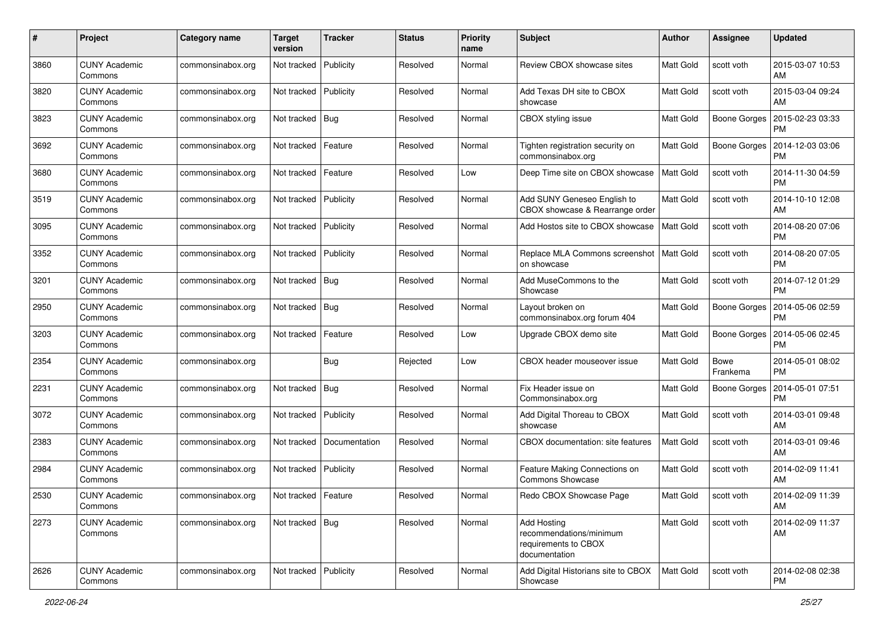| #    | Project                         | Category name     | <b>Target</b><br>version | <b>Tracker</b> | <b>Status</b> | <b>Priority</b><br>name | Subject                                                                         | <b>Author</b>    | Assignee                | <b>Updated</b>                |
|------|---------------------------------|-------------------|--------------------------|----------------|---------------|-------------------------|---------------------------------------------------------------------------------|------------------|-------------------------|-------------------------------|
| 3860 | <b>CUNY Academic</b><br>Commons | commonsinabox.org | Not tracked              | Publicity      | Resolved      | Normal                  | Review CBOX showcase sites                                                      | <b>Matt Gold</b> | scott voth              | 2015-03-07 10:53<br>AM        |
| 3820 | <b>CUNY Academic</b><br>Commons | commonsinabox.org | Not tracked              | Publicity      | Resolved      | Normal                  | Add Texas DH site to CBOX<br>showcase                                           | <b>Matt Gold</b> | scott voth              | 2015-03-04 09:24<br>AM        |
| 3823 | <b>CUNY Academic</b><br>Commons | commonsinabox.org | Not tracked              | <b>Bug</b>     | Resolved      | Normal                  | CBOX styling issue                                                              | Matt Gold        | Boone Gorges            | 2015-02-23 03:33<br>PM        |
| 3692 | <b>CUNY Academic</b><br>Commons | commonsinabox.org | Not tracked              | Feature        | Resolved      | Normal                  | Tighten registration security on<br>commonsinabox.org                           | Matt Gold        | Boone Gorges            | 2014-12-03 03:06<br>PM        |
| 3680 | <b>CUNY Academic</b><br>Commons | commonsinabox.org | Not tracked              | Feature        | Resolved      | Low                     | Deep Time site on CBOX showcase                                                 | <b>Matt Gold</b> | scott voth              | 2014-11-30 04:59<br>PM        |
| 3519 | <b>CUNY Academic</b><br>Commons | commonsinabox.org | Not tracked              | Publicity      | Resolved      | Normal                  | Add SUNY Geneseo English to<br>CBOX showcase & Rearrange order                  | Matt Gold        | scott voth              | 2014-10-10 12:08<br>AM        |
| 3095 | <b>CUNY Academic</b><br>Commons | commonsinabox.org | Not tracked              | Publicity      | Resolved      | Normal                  | Add Hostos site to CBOX showcase                                                | Matt Gold        | scott voth              | 2014-08-20 07:06<br><b>PM</b> |
| 3352 | <b>CUNY Academic</b><br>Commons | commonsinabox.org | Not tracked              | Publicity      | Resolved      | Normal                  | Replace MLA Commons screenshot<br>on showcase                                   | Matt Gold        | scott voth              | 2014-08-20 07:05<br><b>PM</b> |
| 3201 | <b>CUNY Academic</b><br>Commons | commonsinabox.org | Not tracked              | Bug            | Resolved      | Normal                  | Add MuseCommons to the<br>Showcase                                              | Matt Gold        | scott voth              | 2014-07-12 01:29<br><b>PM</b> |
| 2950 | <b>CUNY Academic</b><br>Commons | commonsinabox.org | Not tracked              | <b>Bug</b>     | Resolved      | Normal                  | Layout broken on<br>commonsinabox.org forum 404                                 | Matt Gold        | Boone Gorges            | 2014-05-06 02:59<br>PM        |
| 3203 | <b>CUNY Academic</b><br>Commons | commonsinabox.org | Not tracked              | Feature        | Resolved      | Low                     | Upgrade CBOX demo site                                                          | Matt Gold        | Boone Gorges            | 2014-05-06 02:45<br><b>PM</b> |
| 2354 | <b>CUNY Academic</b><br>Commons | commonsinabox.org |                          | Bug            | Rejected      | Low                     | CBOX header mouseover issue                                                     | Matt Gold        | <b>Bowe</b><br>Frankema | 2014-05-01 08:02<br>PM        |
| 2231 | <b>CUNY Academic</b><br>Commons | commonsinabox.org | Not tracked              | <b>Bug</b>     | Resolved      | Normal                  | Fix Header issue on<br>Commonsinabox.org                                        | Matt Gold        | <b>Boone Gorges</b>     | 2014-05-01 07:51<br><b>PM</b> |
| 3072 | <b>CUNY Academic</b><br>Commons | commonsinabox.org | Not tracked              | Publicity      | Resolved      | Normal                  | Add Digital Thoreau to CBOX<br>showcase                                         | Matt Gold        | scott voth              | 2014-03-01 09:48<br>AM        |
| 2383 | <b>CUNY Academic</b><br>Commons | commonsinabox.org | Not tracked              | Documentation  | Resolved      | Normal                  | CBOX documentation: site features                                               | Matt Gold        | scott voth              | 2014-03-01 09:46<br>AM        |
| 2984 | <b>CUNY Academic</b><br>Commons | commonsinabox.org | Not tracked              | Publicity      | Resolved      | Normal                  | Feature Making Connections on<br>Commons Showcase                               | Matt Gold        | scott voth              | 2014-02-09 11:41<br>AM        |
| 2530 | <b>CUNY Academic</b><br>Commons | commonsinabox.org | Not tracked Feature      |                | Resolved      | Normal                  | Redo CBOX Showcase Page                                                         | Matt Gold        | scott voth              | 2014-02-09 11:39<br>AM        |
| 2273 | <b>CUNY Academic</b><br>Commons | commonsinabox.org | Not tracked   Bug        |                | Resolved      | Normal                  | Add Hosting<br>recommendations/minimum<br>requirements to CBOX<br>documentation | Matt Gold        | scott voth              | 2014-02-09 11:37<br>AM        |
| 2626 | <b>CUNY Academic</b><br>Commons | commonsinabox.org | Not tracked              | Publicity      | Resolved      | Normal                  | Add Digital Historians site to CBOX<br>Showcase                                 | Matt Gold        | scott voth              | 2014-02-08 02:38<br><b>PM</b> |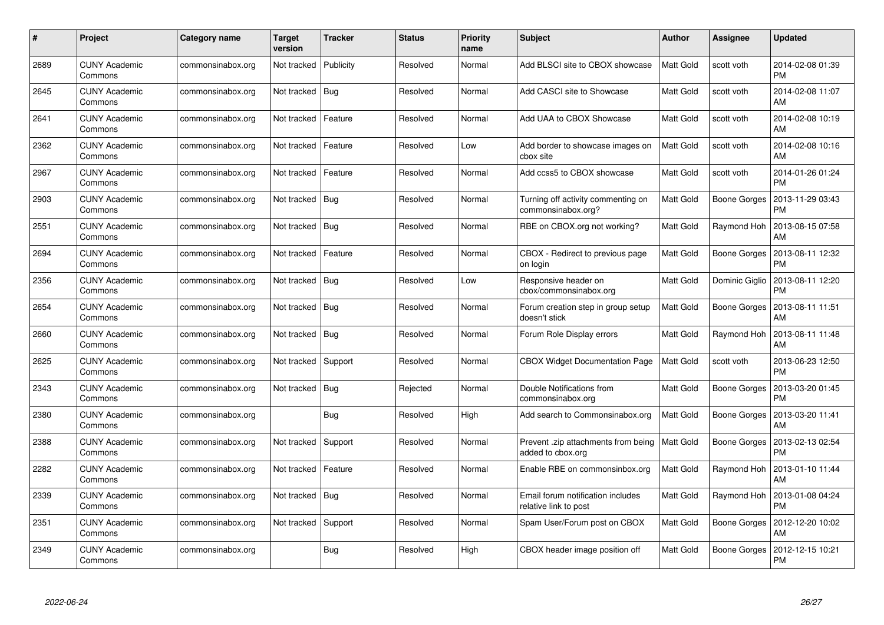| $\#$ | Project                         | Category name     | Target<br>version | <b>Tracker</b> | <b>Status</b> | <b>Priority</b><br>name | <b>Subject</b>                                             | <b>Author</b> | Assignee       | <b>Updated</b>                |
|------|---------------------------------|-------------------|-------------------|----------------|---------------|-------------------------|------------------------------------------------------------|---------------|----------------|-------------------------------|
| 2689 | <b>CUNY Academic</b><br>Commons | commonsinabox.org | Not tracked       | Publicity      | Resolved      | Normal                  | Add BLSCI site to CBOX showcase                            | Matt Gold     | scott voth     | 2014-02-08 01:39<br><b>PM</b> |
| 2645 | <b>CUNY Academic</b><br>Commons | commonsinabox.org | Not tracked       | Bug            | Resolved      | Normal                  | Add CASCI site to Showcase                                 | Matt Gold     | scott voth     | 2014-02-08 11:07<br>AM        |
| 2641 | <b>CUNY Academic</b><br>Commons | commonsinabox.org | Not tracked       | Feature        | Resolved      | Normal                  | Add UAA to CBOX Showcase                                   | Matt Gold     | scott voth     | 2014-02-08 10:19<br>AM        |
| 2362 | <b>CUNY Academic</b><br>Commons | commonsinabox.org | Not tracked       | Feature        | Resolved      | Low                     | Add border to showcase images on<br>cbox site              | Matt Gold     | scott voth     | 2014-02-08 10:16<br>AM        |
| 2967 | <b>CUNY Academic</b><br>Commons | commonsinabox.org | Not tracked       | Feature        | Resolved      | Normal                  | Add ccss5 to CBOX showcase                                 | Matt Gold     | scott voth     | 2014-01-26 01:24<br><b>PM</b> |
| 2903 | <b>CUNY Academic</b><br>Commons | commonsinabox.org | Not tracked       | Bug            | Resolved      | Normal                  | Turning off activity commenting on<br>commonsinabox.org?   | Matt Gold     | Boone Gorges   | 2013-11-29 03:43<br><b>PM</b> |
| 2551 | <b>CUNY Academic</b><br>Commons | commonsinabox.org | Not tracked       | Bug            | Resolved      | Normal                  | RBE on CBOX.org not working?                               | Matt Gold     | Raymond Hoh    | 2013-08-15 07:58<br>AM        |
| 2694 | <b>CUNY Academic</b><br>Commons | commonsinabox.org | Not tracked       | Feature        | Resolved      | Normal                  | CBOX - Redirect to previous page<br>on login               | Matt Gold     | Boone Gorges   | 2013-08-11 12:32<br><b>PM</b> |
| 2356 | <b>CUNY Academic</b><br>Commons | commonsinabox.org | Not tracked   Bug |                | Resolved      | Low                     | Responsive header on<br>cbox/commonsinabox.org             | Matt Gold     | Dominic Giglio | 2013-08-11 12:20<br>PM        |
| 2654 | <b>CUNY Academic</b><br>Commons | commonsinabox.org | Not tracked       | Bug            | Resolved      | Normal                  | Forum creation step in group setup<br>doesn't stick        | Matt Gold     | Boone Gorges   | 2013-08-11 11:51<br>AM        |
| 2660 | <b>CUNY Academic</b><br>Commons | commonsinabox.org | Not tracked   Bug |                | Resolved      | Normal                  | Forum Role Display errors                                  | Matt Gold     | Raymond Hoh    | 2013-08-11 11:48<br>AM        |
| 2625 | <b>CUNY Academic</b><br>Commons | commonsinabox.org | Not tracked       | Support        | Resolved      | Normal                  | <b>CBOX Widget Documentation Page</b>                      | Matt Gold     | scott voth     | 2013-06-23 12:50<br><b>PM</b> |
| 2343 | <b>CUNY Academic</b><br>Commons | commonsinabox.org | Not tracked       | Bug            | Rejected      | Normal                  | Double Notifications from<br>commonsinabox.org             | Matt Gold     | Boone Gorges   | 2013-03-20 01:45<br><b>PM</b> |
| 2380 | <b>CUNY Academic</b><br>Commons | commonsinabox.org |                   | Bug            | Resolved      | High                    | Add search to Commonsinabox.org                            | Matt Gold     | Boone Gorges   | 2013-03-20 11:41<br>AM        |
| 2388 | <b>CUNY Academic</b><br>Commons | commonsinabox.org | Not tracked       | Support        | Resolved      | Normal                  | Prevent .zip attachments from being<br>added to cbox.org   | Matt Gold     | Boone Gorges   | 2013-02-13 02:54<br><b>PM</b> |
| 2282 | <b>CUNY Academic</b><br>Commons | commonsinabox.org | Not tracked       | Feature        | Resolved      | Normal                  | Enable RBE on commonsinbox.org                             | Matt Gold     | Raymond Hoh    | 2013-01-10 11:44<br>AM        |
| 2339 | <b>CUNY Academic</b><br>Commons | commonsinabox.org | Not tracked   Bug |                | Resolved      | Normal                  | Email forum notification includes<br>relative link to post | Matt Gold     | Raymond Hoh    | 2013-01-08 04:24<br><b>PM</b> |
| 2351 | <b>CUNY Academic</b><br>Commons | commonsinabox.org | Not tracked       | Support        | Resolved      | Normal                  | Spam User/Forum post on CBOX                               | Matt Gold     | Boone Gorges   | 2012-12-20 10:02<br>AM        |
| 2349 | CUNY Academic<br>Commons        | commonsinabox.org |                   | Bug            | Resolved      | High                    | CBOX header image position off                             | Matt Gold     | Boone Gorges   | 2012-12-15 10:21<br>PM        |